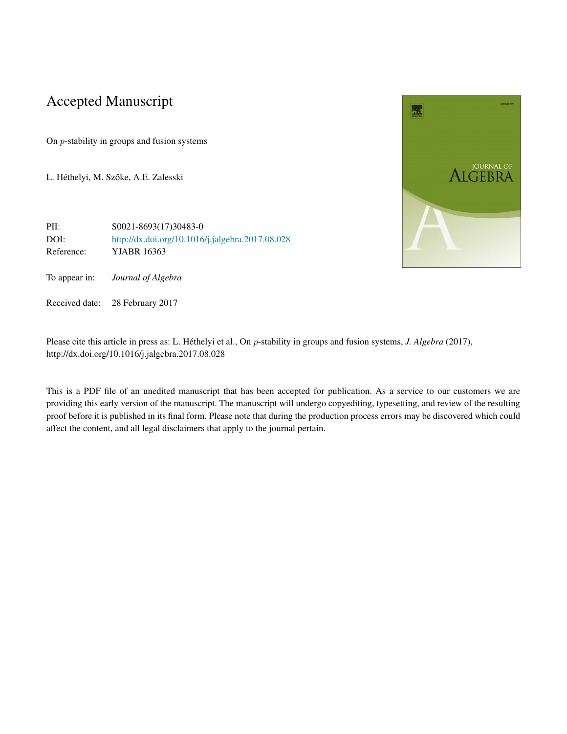# Accepted Manuscript

On *p*-stability in groups and fusion systems

L. Héthelyi, M. Szőke, A.E. Zalesski



PII: S0021-8693(17)30483-0 DOI: <http://dx.doi.org/10.1016/j.jalgebra.2017.08.028> Reference: YJABR 16363

To appear in: *Journal of Algebra*

Received date: 28 February 2017

Please cite this article in press as: L. Héthelyi et al., On *p*-stability in groups and fusion systems, *J. Algebra* (2017), http://dx.doi.org/10.1016/j.jalgebra.2017.08.028

This is a PDF file of an unedited manuscript that has been accepted for publication. As a service to our customers we are providing this early version of the manuscript. The manuscript will undergo copyediting, typesetting, and review of the resulting proof before it is published in its final form. Please note that during the production process errors may be discovered which could affect the content, and all legal disclaimers that apply to the journal pertain.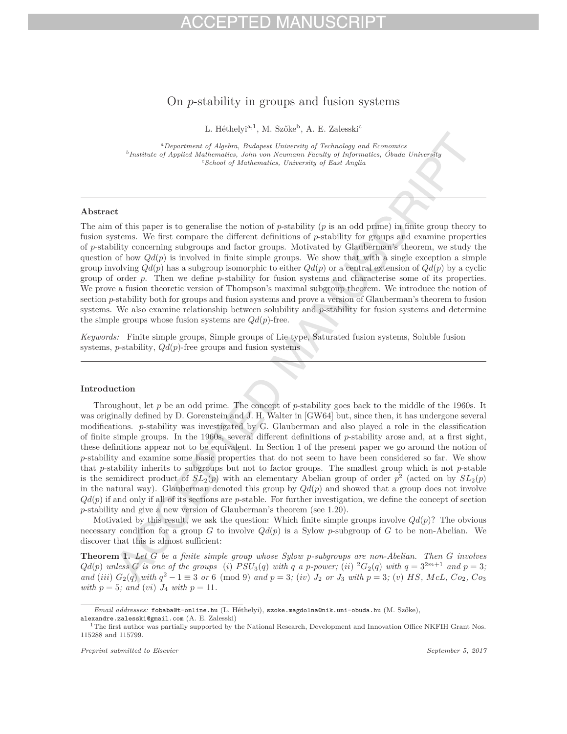# $-1$

## On *p*-stability in groups and fusion systems

L. Héthelyi<sup>a, 1</sup>, M. Szőke<sup>b</sup>, A. E. Zalesski<sup>c</sup>

*<sup>a</sup>Department of Algebra, Budapest University of Technology and Economics <sup>b</sup>Institute of Applied Mathematics, John von Neumann Faculty of Informatics, Óbuda University <sup>c</sup>School of Mathematics, University of East Anglia*

### **Abstract**

The aim of this paper is to generalise the notion of *p*-stability (*p* is an odd prime) in finite group theory to fusion systems. We first compare the different definitions of *p*-stability for groups and examine properties of *p*-stability concerning subgroups and factor groups. Motivated by Glauberman's theorem, we study the question of how  $Qd(p)$  is involved in finite simple groups. We show that with a single exception a simple group involving  $Qd(p)$  has a subgroup isomorphic to either  $Qd(p)$  or a central extension of  $Qd(p)$  by a cyclic group of order *p*. Then we define *p*-stability for fusion systems and characterise some of its properties. We prove a fusion theoretic version of Thompson's maximal subgroup theorem. We introduce the notion of section *p*-stability both for groups and fusion systems and prove a version of Glauberman's theorem to fusion systems. We also examine relationship between solubility and *p*-stability for fusion systems and determine the simple groups whose fusion systems are  $Qd(p)$ -free.

*Keywords:* Finite simple groups, Simple groups of Lie type, Saturated fusion systems, Soluble fusion systems, *p*-stability, *Qd*(*p*)-free groups and fusion systems

### **Introduction**

Throughout, let *p* be an odd prime. The concept of *p*-stability goes back to the middle of the 1960s. It was originally defined by D. Gorenstein and J. H. Walter in [GW64] but, since then, it has undergone several modifications. *p*-stability was investigated by G. Glauberman and also played a role in the classification of finite simple groups. In the 1960s, several different definitions of *p*-stability arose and, at a first sight, these definitions appear not to be equivalent. In Section 1 of the present paper we go around the notion of *p*-stability and examine some basic properties that do not seem to have been considered so far. We show that *p*-stability inherits to subgroups but not to factor groups. The smallest group which is not *p*-stable is the semidirect product of  $SL_2(p)$  with an elementary Abelian group of order  $p^2$  (acted on by  $SL_2(p)$ ) in the natural way). Glauberman denoted this group by  $Qd(p)$  and showed that a group does not involve  $Qd(p)$  if and only if all of its sections are *p*-stable. For further investigation, we define the concept of section *p*-stability and give a new version of Glauberman's theorem (see 1.20).

Motivated by this result, we ask the question: Which finite simple groups involve  $Qd(p)$ ? The obvious necessary condition for a group *G* to involve *Qd*(*p*) is a Sylow *p*-subgroup of *G* to be non-Abelian. We discover that this is almost sufficient:

**Theorem 1.** *Let G be a finite simple group whose Sylow p-subgroups are non-Abelian. Then G involves*  $Qd(p)$  unless G is one of the groups (i)  $PSU_3(q)$  with q a p-power; (ii)  ${}^2G_2(q)$  with  $q = 3^{2m+1}$  and  $p = 3$ ; and (iii)  $G_2(q)$  with  $q^2 - 1 \equiv 3$  or 6 (mod 9) and  $p = 3$ ; (iv)  $J_2$  or  $J_3$  with  $p = 3$ ; (v) HS, McL, Co<sub>2</sub>, Co<sub>3</sub> *with*  $p = 5$ *; and* (*vi*)  $J_4$  *with*  $p = 11$ *.* 

*Email addresses:* fobaba@t-online.hu (L. Héthelyi), szoke.magdolna@nik.uni-obuda.hu (M. Szőke),

alexandre.zalesski@gmail.com (A. E. Zalesski)<br><sup>1</sup>The first author was partially supported by the National Research, Development and Innovation Office NKFIH Grant Nos. 115288 and 115799.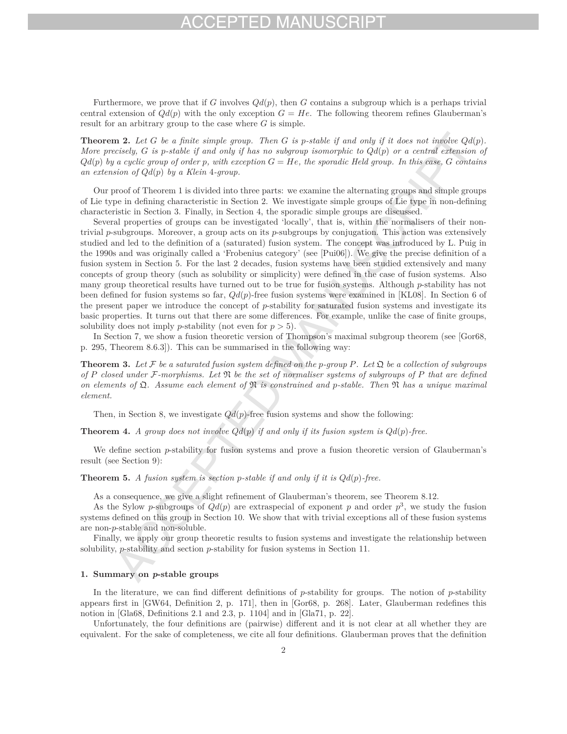## FPTED MAI

Furthermore, we prove that if *G* involves  $Qd(p)$ , then *G* contains a subgroup which is a perhaps trivial central extension of  $Qd(p)$  with the only exception  $G = He$ . The following theorem refines Glauberman's result for an arbitrary group to the case where *G* is simple.

**Theorem 2.** Let  $G$  be a finite simple group. Then  $G$  is p-stable if and only if it does not involve  $Qd(p)$ . *More precisely, G is p-stable if and only if has no subgroup isomorphic to Qd*(*p*) *or a central extension of*  $Qd(p)$  *by a cyclic group of order p, with exception*  $G = He$ *, the sporadic Held group. In this case,*  $G$  *contains an extension of Qd*(*p*) *by a Klein* 4*-group.*

Our proof of Theorem 1 is divided into three parts: we examine the alternating groups and simple groups of Lie type in defining characteristic in Section 2. We investigate simple groups of Lie type in non-defining characteristic in Section 3. Finally, in Section 4, the sporadic simple groups are discussed.

Several properties of groups can be investigated 'locally', that is, within the normalisers of their nontrivial *p*-subgroups. Moreover, a group acts on its *p*-subgroups by conjugation. This action was extensively studied and led to the definition of a (saturated) fusion system. The concept was introduced by L. Puig in the 1990s and was originally called a 'Frobenius category' (see [Pui06]). We give the precise definition of a fusion system in Section 5. For the last 2 decades, fusion systems have been studied extensively and many concepts of group theory (such as solubility or simplicity) were defined in the case of fusion systems. Also many group theoretical results have turned out to be true for fusion systems. Although *p*-stability has not been defined for fusion systems so far, *Qd*(*p*)-free fusion systems were examined in [KL08]. In Section 6 of the present paper we introduce the concept of *p*-stability for saturated fusion systems and investigate its basic properties. It turns out that there are some differences. For example, unlike the case of finite groups, solubility does not imply *p*-stability (not even for  $p > 5$ ).

In Section 7, we show a fusion theoretic version of Thompson's maximal subgroup theorem (see [Gor68, p. 295, Theorem 8.6.3]). This can be summarised in the following way:

**Theorem 3.** Let  $\mathcal F$  be a saturated fusion system defined on the p-group P. Let  $\mathfrak Q$  be a collection of subgroups *of P closed under* F*-morphisms. Let* N *be the set of normaliser systems of subgroups of P that are defined on elements of* Q*. Assume each element of* N *is constrained and p-stable. Then* N *has a unique maximal element.*

Then, in Section 8, we investigate *Qd*(*p*)-free fusion systems and show the following:

**Theorem 4.** *A group does not involve*  $Qd(p)$  *if and only if its fusion system is*  $Qd(p)$ *-free.* 

We define section *p*-stability for fusion systems and prove a fusion theoretic version of Glauberman's result (see Section 9):

**Theorem 5.** *A fusion system is section p-stable if and only if it is Qd*(*p*)*-free.*

As a consequence, we give a slight refinement of Glauberman's theorem, see Theorem 8.12.

As the Sylow *p*-subgroups of  $Qd(p)$  are extraspecial of exponent *p* and order  $p^3$ , we study the fusion systems defined on this group in Section 10. We show that with trivial exceptions all of these fusion systems are non-*p*-stable and non-soluble.

Finally, we apply our group theoretic results to fusion systems and investigate the relationship between solubility, *p*-stability and section *p*-stability for fusion systems in Section 11.

### **1. Summary on** *p***-stable groups**

In the literature, we can find different definitions of *p*-stability for groups. The notion of *p*-stability appears first in [GW64, Definition 2, p. 171], then in [Gor68, p. 268]. Later, Glauberman redefines this notion in [Gla68, Definitions 2.1 and 2.3, p. 1104] and in [Gla71, p. 22].

Unfortunately, the four definitions are (pairwise) different and it is not clear at all whether they are equivalent. For the sake of completeness, we cite all four definitions. Glauberman proves that the definition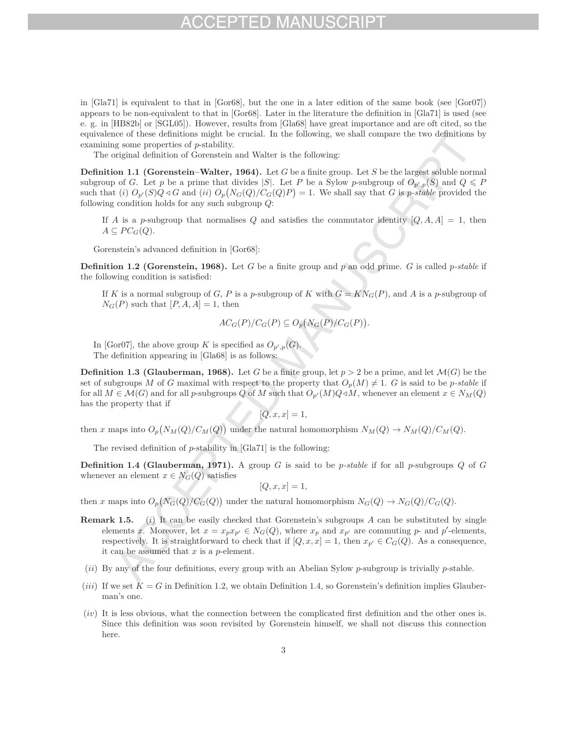## $-1$ )

in [Gla71] is equivalent to that in [Gor68], but the one in a later edition of the same book (see [Gor07]) appears to be non-equivalent to that in [Gor68]. Later in the literature the definition in [Gla71] is used (see e. g. in [HB82b] or [SGL05]). However, results from [Gla68] have great importance and are oft cited, so the equivalence of these definitions might be crucial. In the following, we shall compare the two definitions by examining some properties of *p*-stability.

The original definition of Gorenstein and Walter is the following:

**Definition 1.1 (Gorenstein–Walter, 1964).** Let *G* be a finite group. Let *S* be the largest soluble normal subgroup of *G*. Let *p* be a prime that divides |*S*|. Let *P* be a Sylow *p*-subgroup of  $O_{p',p}(S)$  and  $Q \leq P$ such that (i)  $O_{p'}(S)Q \triangleleft G$  and (ii)  $O_p(N_G(Q)/C_G(Q)P) = 1$ . We shall say that G is p-stable provided the following condition holds for any such subgroup *Q*:

If *A* is a *p*-subgroup that normalises *Q* and satisfies the commutator identity  $[Q, A, A] = 1$ , then  $A ⊂ PC$ <sup>*G*</sup> $(Q)$ .

Gorenstein's advanced definition in [Gor68]:

**Definition 1.2 (Gorenstein, 1968).** Let *G* be a finite group and *p* an odd prime. *G* is called *p-stable* if the following condition is satisfied:

If *K* is a normal subgroup of *G*, *P* is a *p*-subgroup of *K* with  $G = KN<sub>G</sub>(P)$ , and *A* is a *p*-subgroup of  $N_G(P)$  such that  $[P, A, A] = 1$ , then

$$
AC_G(P)/C_G(P) \subseteq O_p(N_G(P)/C_G(P)).
$$

In [Gor07], the above group *K* is specified as  $O_{p',p}(G)$ . The definition appearing in [Gla68] is as follows:

**Definition 1.3 (Glauberman, 1968).** Let *G* be a finite group, let  $p > 2$  be a prime, and let  $\mathcal{M}(G)$  be the set of subgroups M of *G* maximal with respect to the property that  $O_p(M) \neq 1$ . *G* is said to be *p*-stable if for all  $M \in \mathcal{M}(G)$  and for all *p*-subgroups *Q* of *M* such that  $O_{p'}(M)Q \triangleleft M$ , whenever an element  $x \in N_M(Q)$ has the property that if

$$
[Q, x, x] = 1,
$$

then *x* maps into  $O_p(N_M(Q)/C_M(Q))$  under the natural homomorphism  $N_M(Q) \to N_M(Q)/C_M(Q)$ .

The revised definition of *p*-stability in [Gla71] is the following:

**Definition 1.4 (Glauberman, 1971).** A group *G* is said to be *p-stable* if for all *p*-subgroups *Q* of *G* whenever an element  $x \in N_G(Q)$  satisfies

$$
[Q, x, x] = 1,
$$

then *x* maps into  $O_p(N_G(Q)/C_G(Q))$  under the natural homomorphism  $N_G(Q) \to N_G(Q)/C_G(Q)$ .

- **Remark 1.5.** (*i*) It can be easily checked that Gorenstein's subgroups *A* can be substituted by single elements *x*. Moreover, let  $x = x_p x_{p'} \in N_G(Q)$ , where  $x_p$  and  $x_{p'}$  are commuting *p*- and *p*'-elements, respectively. It is straightforward to check that if  $[Q, x, x] = 1$ , then  $x_{p'} \in C_G(Q)$ . As a consequence, it can be assumed that *x* is a *p*-element.
- (*ii*) By any of the four definitions, every group with an Abelian Sylow *p*-subgroup is trivially *p*-stable.
- (*iii*) If we set  $\bar{K} = G$  in Definition 1.2, we obtain Definition 1.4, so Gorenstein's definition implies Glauberman's one.
- (*iv*) It is less obvious, what the connection between the complicated first definition and the other ones is. Since this definition was soon revisited by Gorenstein himself, we shall not discuss this connection here.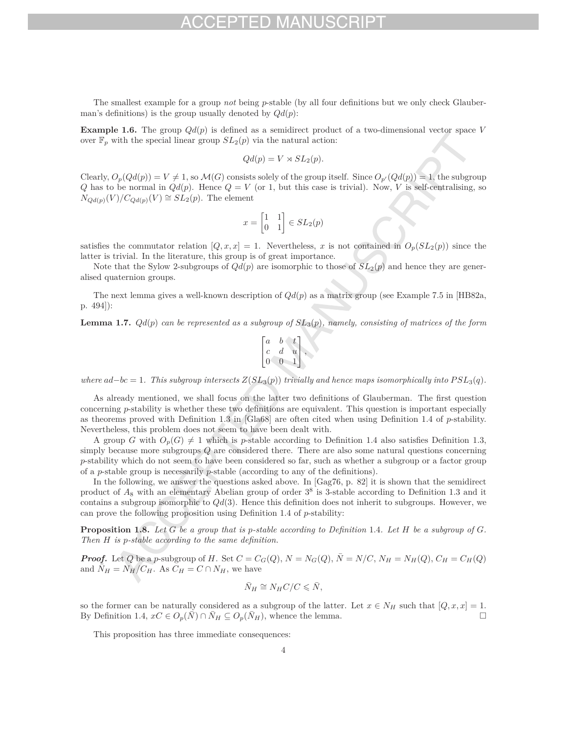The smallest example for a group *not* being *p*-stable (by all four definitions but we only check Glauberman's definitions) is the group usually denoted by  $Qd(p)$ :

**Example 1.6.** The group  $Qd(p)$  is defined as a semidirect product of a two-dimensional vector space *V* over  $\mathbb{F}_p$  with the special linear group  $SL_2(p)$  via the natural action:

$$
Qd(p) = V \rtimes SL_2(p).
$$

Clearly,  $O_p(Qd(p)) = V \neq 1$ , so  $\mathcal{M}(G)$  consists solely of the group itself. Since  $O_{p'}(Qd(p)) = 1$ , the subgroup *Q* has to be normal in  $Qd(p)$ . Hence  $Q = V$  (or 1, but this case is trivial). Now, *V* is self-centralising, so  $N_{Qd(p)}(V)/C_{Qd(p)}(V) \cong SL_2(p)$ . The element

$$
x = \begin{bmatrix} 1 & 1 \\ 0 & 1 \end{bmatrix} \in SL_2(p)
$$

satisfies the commutator relation  $[Q, x, x] = 1$ . Nevertheless, *x* is not contained in  $O_p(SL_2(p))$  since the latter is trivial. In the literature, this group is of great importance.

Note that the Sylow 2-subgroups of  $Qd(p)$  are isomorphic to those of  $SL_2(p)$  and hence they are generalised quaternion groups.

The next lemma gives a well-known description of *Qd*(*p*) as a matrix group (see Example 7.5 in [HB82a, p. 494]):

**Lemma 1.7.** *Qd*(*p*) *can be represented as a subgroup of SL*3(*p*)*, namely, consisting of matrices of the form*

$$
\begin{bmatrix} a & b & t \\ c & d & u \\ 0 & 0 & 1 \end{bmatrix},
$$

*where*  $ad-bc = 1$ *. This subgroup intersects*  $Z(SL_3(p))$  *trivially and hence maps isomorphically into*  $PSL_3(q)$ *.* 

As already mentioned, we shall focus on the latter two definitions of Glauberman. The first question concerning *p*-stability is whether these two definitions are equivalent. This question is important especially as theorems proved with Definition 1.3 in [Gla68] are often cited when using Definition 1.4 of *p*-stability. Nevertheless, this problem does not seem to have been dealt with.

A group *G* with  $O_p(G) \neq 1$  which is *p*-stable according to Definition 1.4 also satisfies Definition 1.3, simply because more subgroups *Q* are considered there. There are also some natural questions concerning *p*-stability which do not seem to have been considered so far, such as whether a subgroup or a factor group of a *p*-stable group is necessarily *p*-stable (according to any of the definitions).

In the following, we answer the questions asked above. In [Gag76, p. 82] it is shown that the semidirect product of *A*<sup>8</sup> with an elementary Abelian group of order 3<sup>8</sup> is 3-stable according to Definition 1.3 and it contains a subgroup isomorphic to *Qd*(3). Hence this definition does not inherit to subgroups. However, we can prove the following proposition using Definition 1.4 of *p*-stability:

**Proposition 1.8.** *Let G be a group that is p-stable according to Definition* 1*.*4*. Let H be a subgroup of G. Then H is p-stable according to the same definition.*

**Proof.** Let Q be a p-subgroup of H. Set  $C = C_G(Q)$ ,  $N = N_G(Q)$ ,  $\overline{N} = N/C$ ,  $N_H = N_H(Q)$ ,  $C_H = C_H(Q)$ and  $\bar{N}_H = N_H/C_H$ . As  $C_H = C \cap N_H$ , we have

$$
\bar{N}_H \cong N_H C/C \leqslant \bar{N},
$$

so the former can be naturally considered as a subgroup of the latter. Let  $x \in N_H$  such that  $[Q, x, x] = 1$ .<br>By Definition 1.4,  $xC \in O(\bar{N}) \cap \bar{N}_H \subset O(\bar{N}_H)$ , whence the lemma By Definition 1.4,  $xC \in O_p(\overline{N}) \cap \overline{N}_H \subseteq O_p(\overline{N}_H)$ , whence the lemma.

This proposition has three immediate consequences: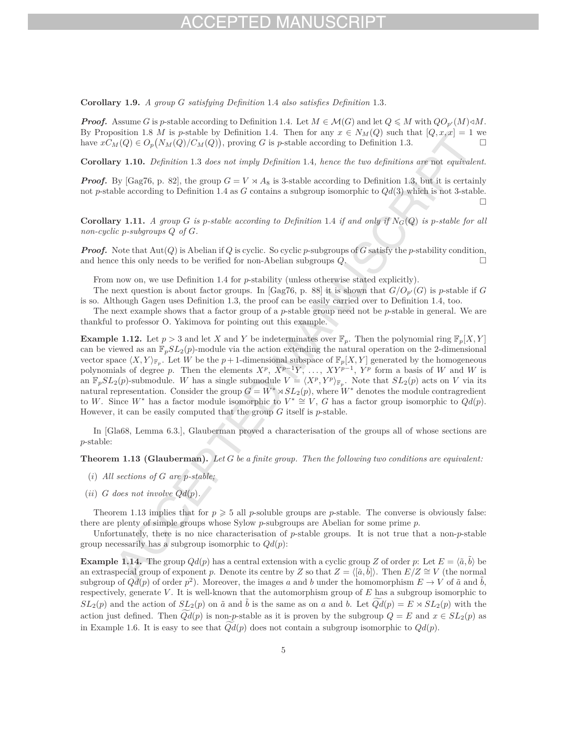## H) MA

**Corollary 1.9.** *A group G satisfying Definition* 1*.*4 *also satisfies Definition* 1*.*3*.*

*Proof.* Assume *G* is *p*-stable according to Definition 1.4. Let  $M \in \mathcal{M}(G)$  and let  $Q \leqslant M$  with  $QO_{p'}(M) \triangleleft M$ . By Proposition 1.8 *M* is *p*-stable by Definition 1.4. Then for any  $x \in N_M(Q)$  such that  $[Q, x, x] = 1$  we have  $xC_M(Q) \in O_n(N_M(Q)/C_M(Q))$ , proving G is *p*-stable according to Definition 1.3. have  $x\ddot{C}_M(Q) \in O_p(N_M(Q)/C_M(Q))$ , proving *G* is *p*-stable according to Definition 1.3.

**Corollary 1.10.** *Definition* 1*.*3 *does not imply Definition* 1*.*4*, hence the two definitions are* not *equivalent.*

*Proof.* By [Gag76, p. 82], the group  $G = V \times A_8$  is 3-stable according to Definition 1.3, but it is certainly not *p*-stable according to Definition 1.4 as *G* contains a subgroup isomorphic to *Qd*(3) which is not 3-stable.  $\Box$ 

**Corollary 1.11.** *A group G is p*-stable according to Definition 1.4 *if and only if*  $N_G(Q)$  *is p-stable for all non-cyclic p-subgroups Q of G.*

*Proof.* Note that Aut(*Q*) is Abelian if *Q* is cyclic. So cyclic *p*-subgroups of *G* satisfy the *p*-stability condition, and hence this only needs to be verified for non-Abelian subgroups *Q*.

From now on, we use Definition 1.4 for *p*-stability (unless otherwise stated explicitly).

The next question is about factor groups. In [Gag76, p. 88] it is shown that  $G/O_{p'}(G)$  is *p*-stable if *G* is so. Although Gagen uses Definition 1.3, the proof can be easily carried over to Definition 1.4, too.

The next example shows that a factor group of a *p*-stable group need not be *p*-stable in general. We are thankful to professor O. Yakimova for pointing out this example.

**Example 1.12.** Let  $p > 3$  and let *X* and *Y* be indeterminates over  $\mathbb{F}_p$ . Then the polynomial ring  $\mathbb{F}_p[X, Y]$ can be viewed as an  $\mathbb{F}_p SL_2(p)$ -module via the action extending the natural operation on the 2-dimensional vector space  $\langle X, Y \rangle_{\mathbb{F}_p}$ . Let *W* be the *p* + 1-dimensional subspace of  $\mathbb{F}_p[X, Y]$  generated by the homogeneous polynomials of degree *p*. Then the elements  $X^p$ ,  $X^{p-1}Y$ , ...,  $XY^{p-1}$ ,  $Y^p$  form a basis of *W* and *W* is an  $\mathbb{F}_p SL_2(p)$ -submodule. *W* has a single submodule  $V = \langle X^p, Y^p \rangle_{\mathbb{F}_p}$ . Note that  $SL_2(p)$  acts on *V* via its natural representation. Consider the group  $G = W^* \rtimes SL_2(p)$ , where  $W^*$  denotes the module contragredient to *W*. Since *W*<sup>∗</sup> has a factor module isomorphic to  $V^* \cong V$ , *G* has a factor group isomorphic to  $Qd(p)$ . However, it can be easily computed that the group *G* itself is *p*-stable.

In [Gla68, Lemma 6.3.], Glauberman proved a characterisation of the groups all of whose sections are *p*-stable:

**Theorem 1.13 (Glauberman).** *Let G be a finite group. Then the following two conditions are equivalent:*

- (*i*) *All sections of G are p-stable;*
- (*ii*)  $G$  *does not involve*  $Qd(p)$ *.*

Theorem 1.13 implies that for  $p \geq 5$  all *p*-soluble groups are *p*-stable. The converse is obviously false: there are plenty of simple groups whose Sylow *p*-subgroups are Abelian for some prime *p*.

Unfortunately, there is no nice characterisation of *p*-stable groups. It is not true that a non-*p*-stable group necessarily has a subgroup isomorphic to *Qd*(*p*):

**Example 1.14.** The group  $Qd(p)$  has a central extension with a cyclic group *Z* of order *p*: Let  $E = \langle \tilde{a}, \tilde{b} \rangle$  be an extraspecial group of exponent *p*. Denote its centre by *Z* so that  $Z = \langle [\tilde{a}, \tilde{b}] \rangle$ . Then  $E/Z \cong V$  (the normal subgroup of  $Qd(p)$  of order  $p^2$ ). Moreover, the images *a* and *b* under the homomorphism  $E \to V$  of  $\tilde{a}$  and  $\tilde{b}$ , respectively, generate *V* . It is well-known that the automorphism group of *E* has a subgroup isomorphic to  $SL_2(p)$  and the action of  $SL_2(p)$  on  $\tilde{a}$  and  $\tilde{b}$  is the same as on *a* and *b*. Let  $\widetilde{Qd}(p) = E \rtimes SL_2(p)$  with the action just defined. Then  $Qd(p)$  is non-*p*-stable as it is proven by the subgroup  $Q = E$  and  $x \in SL_2(p)$  as in Example 1.6. It is easy to see that  $Qd(p)$  does not contain a subgroup isomorphic to  $Qd(p)$ .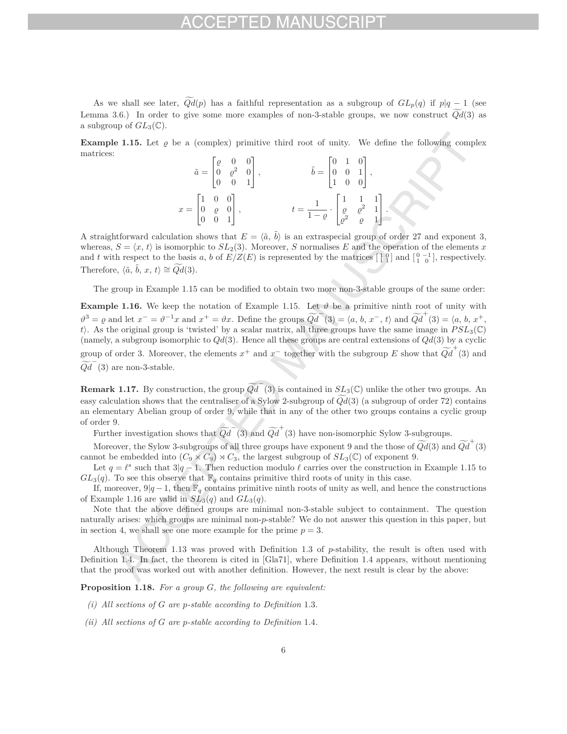As we shall see later,  $Qd(p)$  has a faithful representation as a subgroup of  $GL_p(q)$  if  $p|q-1$  (see Lemma 3.6.) In order to give some more examples of non-3-stable groups, we now construct *Qd* (3) as a subgroup of  $GL_3(\mathbb{C})$ .

**Example 1.15.** Let  $\varrho$  be a (complex) primitive third root of unity. We define the following complex matrices:

|                                                                                | $\tilde{a} = \begin{bmatrix} \varrho & 0 & 0 \\ 0 & \varrho^2 & 0 \\ 0 & 0 & 1 \end{bmatrix},$ | $\tilde{b} = \begin{bmatrix} 0 & 1 & 0 \\ 0 & 0 & 1 \\ 1 & 0 & 0 \end{bmatrix},$                                         |
|--------------------------------------------------------------------------------|------------------------------------------------------------------------------------------------|--------------------------------------------------------------------------------------------------------------------------|
| $x = \begin{bmatrix} 1 & 0 & 0 \\ 0 & \varrho & 0 \\ 0 & 0 & 1 \end{bmatrix},$ |                                                                                                | $t=\frac{1}{1-\varrho}\cdot\begin{bmatrix} 1 & 1 & 1\\ \varrho & \varrho^2 & 1\\ \varrho^2 & \varrho & 1 \end{bmatrix}.$ |

A straightforward calculation shows that  $E = \langle \tilde{a}, \tilde{b} \rangle$  is an extraspecial group of order 27 and exponent 3, whereas,  $S = \langle x, t \rangle$  is isomorphic to  $SL_2(3)$ . Moreover, *S* normalises *E* and the operation of the elements *x* and *t* with respect to the basis *a*, *b* of  $E/Z(E)$  is represented by the matrices  $\begin{bmatrix} 1 & 0 \\ 1 & 1 \end{bmatrix}$  and  $\begin{bmatrix} 0 & -1 \\ 1 & 0 \end{bmatrix}$ , respectively. Therefore,  $\langle \tilde{a}, \tilde{b}, x, t \rangle \cong \widetilde{Qd}(3)$ .

The group in Example 1.15 can be modified to obtain two more non-3-stable groups of the same order:

**Example 1.16.** We keep the notation of Example 1.15. Let  $\vartheta$  be a primitive ninth root of unity with  $\vartheta^3 = \varrho$  and let  $x^- = \vartheta^{-1}x$  and  $x^+ = \vartheta x$ . Define the groups  $\widetilde{Qd}^-(3) = \langle a, b, x^-, t \rangle$  and  $\widetilde{Qd}^+(3) = \langle a, b, x^+, t \rangle$ *t* . As the original group is 'twisted' by a scalar matrix, all three groups have the same image in *PSL*3(C) (namely, a subgroup isomorphic to *Qd*(3). Hence all these groups are central extensions of *Qd*(3) by a cyclic group of order 3. Moreover, the elements  $x^+$  and  $x^-$  together with the subgroup  $E$  show that  $\widetilde{Qd}^+(3)$  and  $\widetilde{Qd}^{\dagger}(3)$  are non-3-stable.

**Remark 1.17.** By construction, the group  $\widetilde{Qd}^T(3)$  is contained in  $SL_3(\mathbb{C})$  unlike the other two groups. An easy calculation shows that the centraliser of a Sylow 2-subgroup of *Qd* (3) (a subgroup of order 72) contains an elementary Abelian group of order 9, while that in any of the other two groups contains a cyclic group of order 9.

Further investigation shows that  $\widetilde{Qd}^-(3)$  and  $\widetilde{Qd}^+(3)$  have non-isomorphic Sylow 3-subgroups.

Moreover, the Sylow 3-subgroups of all three groups have exponent 9 and the those of  $\widetilde{Qd}(3)$  and  $\widetilde{Qd}^+(3)$ cannot be embedded into  $(C_9 \times C_9) \rtimes C_3$ , the largest subgroup of  $SL_3(\mathbb{C})$  of exponent 9.

Let  $q = \ell^s$  such that  $3|q - 1$ . Then reduction modulo  $\ell$  carries over the construction in Example 1.15 to  $GL_3(q)$ . To see this observe that  $\mathbb{F}_q$  contains primitive third roots of unity in this case.

If, moreover,  $9|q-1$ , then  $\mathbb{F}_q$  contains primitive ninth roots of unity as well, and hence the constructions of Example 1.16 are valid in  $SL_3(q)$  and  $GL_3(q)$ .

Note that the above defined groups are minimal non-3-stable subject to containment. The question naturally arises: which groups are minimal non-*p*-stable? We do not answer this question in this paper, but in section 4, we shall see one more example for the prime  $p = 3$ .

Although Theorem 1.13 was proved with Definition 1.3 of *p*-stability, the result is often used with Definition 1.4. In fact, the theorem is cited in [Gla71], where Definition 1.4 appears, without mentioning that the proof was worked out with another definition. However, the next result is clear by the above:

**Proposition 1.18.** *For a group G, the following are equivalent:*

- *(i) All sections of G are p-stable according to Definition* 1*.*3*.*
- *(ii) All sections of G are p-stable according to Definition* 1*.*4*.*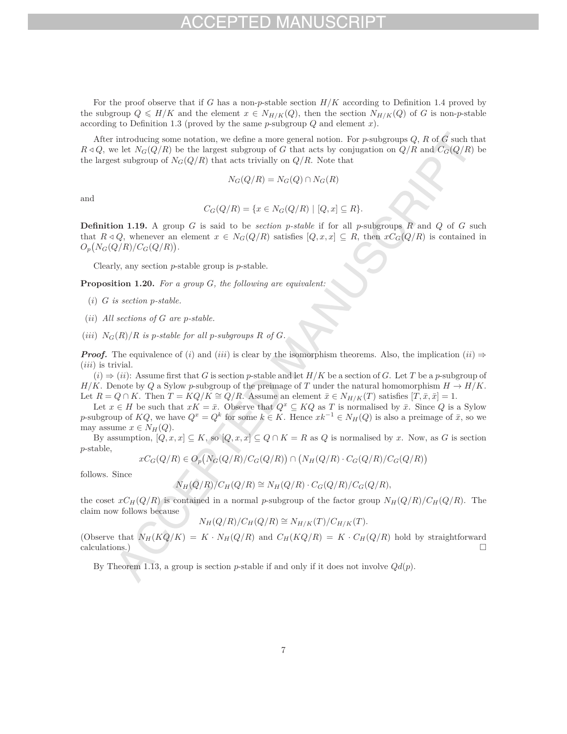For the proof observe that if *G* has a non-*p*-stable section *H/K* according to Definition 1.4 proved by the subgroup  $Q \leq H/K$  and the element  $x \in N_{H/K}(Q)$ , then the section  $N_{H/K}(Q)$  of *G* is non-*p*-stable according to Definition 1.3 (proved by the same *p*-subgroup *Q* and element *x*).

After introducing some notation, we define a more general notion. For *p*-subgroups *Q*, *R* of *G* such that  $R \triangleleft Q$ , we let  $N_G(Q/R)$  be the largest subgroup of *G* that acts by conjugation on  $Q/R$  and  $C_G(Q/R)$  be the largest subgroup of  $N_G(Q/R)$  that acts trivially on  $Q/R$ . Note that

$$
N_G(Q/R) = N_G(Q) \cap N_G(R)
$$

and

$$
C_G(Q/R) = \{x \in N_G(Q/R) \mid [Q, x] \subseteq R\}.
$$

**Definition 1.19.** A group *G* is said to be *section p-stable* if for all *p*-subgroups *R* and *Q* of *G* such that  $R \triangleleft Q$ , whenever an element  $x \in N_G(Q/R)$  satisfies  $[Q, x, x] \subseteq R$ , then  $xC_G(Q/R)$  is contained in  $O_p(N_G(Q/R)/C_G(Q/R)).$ 

Clearly, any section *p*-stable group is *p*-stable.

**Proposition 1.20.** *For a group G, the following are equivalent:*

- (*i*) *G is section p-stable.*
- (*ii*) *All sections of G are p-stable.*
- (*iii*)  $N_G(R)/R$  *is p-stable for all p-subgroups*  $R$  *of*  $G$ *.*

*Proof.* The equivalence of (*i*) and (*iii*) is clear by the isomorphism theorems. Also, the implication (*ii*)  $\Rightarrow$ (*iii*) is trivial.

 $(i) \Rightarrow (ii)$ : Assume first that *G* is section *p*-stable and let  $H/K$  be a section of *G*. Let *T* be a *p*-subgroup of *H/K*. Denote by *Q* a Sylow *p*-subgroup of the preimage of *T* under the natural homomorphism  $H \to H/K$ . Let  $R = Q \cap K$ . Then  $T = KQ/K \cong Q/R$ . Assume an element  $\bar{x} \in N_{H/K}(T)$  satisfies  $[T, \bar{x}, \bar{x}] = 1$ .

Let  $x \in H$  be such that  $xK = \bar{x}$ . Observe that  $Q^x \subseteq KQ$  as *T* is normalised by  $\bar{x}$ . Since *Q* is a Sylow *p*-subgroup of  $KQ$ , we have  $Q^x = Q^k$  for some  $k \in K$ . Hence  $xk^{-1} \in N_H(Q)$  is also a preimage of  $\bar{x}$ , so we may assume  $x \in N_H(Q)$ .

By assumption,  $[Q, x, x] \subseteq K$ , so  $[Q, x, x] \subseteq Q \cap K = R$  as  $Q$  is normalised by  $x$ . Now, as  $G$  is section *p*-stable,

$$
xC_G(Q/R) \in O_p(N_G(Q/R)/C_G(Q/R)) \cap (N_H(Q/R) \cdot C_G(Q/R)/C_G(Q/R))
$$

follows. Since

$$
N_H(Q/R)/C_H(Q/R) \cong N_H(Q/R) \cdot C_G(Q/R)/C_G(Q/R),
$$

the coset  $xC_H(Q/R)$  is contained in a normal *p*-subgroup of the factor group  $N_H(Q/R)/C_H(Q/R)$ . The claim now follows because

$$
N_H(Q/R)/C_H(Q/R) \cong N_{H/K}(T)/C_{H/K}(T).
$$

(Observe that  $N_H(KQ/K) = K \cdot N_H(Q/R)$  and  $C_H(KQ/R) = K \cdot C_H(Q/R)$  hold by straightforward calculations.) calculations.)  $\Box$ 

By Theorem 1.13, a group is section *p*-stable if and only if it does not involve *Qd*(*p*).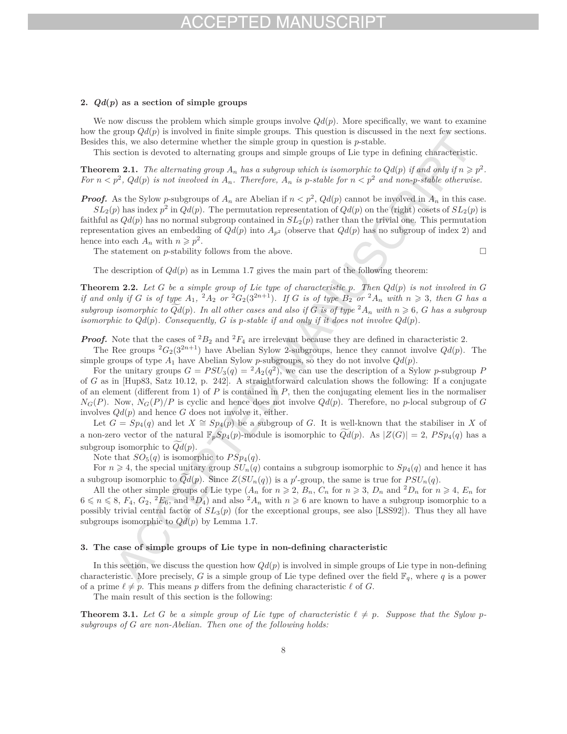# $-1$

### **2.** *Qd***(***p***) as a section of simple groups**

We now discuss the problem which simple groups involve  $Qd(p)$ . More specifically, we want to examine how the group *Qd*(*p*) is involved in finite simple groups. This question is discussed in the next few sections. Besides this, we also determine whether the simple group in question is *p*-stable.

This section is devoted to alternating groups and simple groups of Lie type in defining characteristic.

**Theorem 2.1.** The alternating group  $A_n$  has a subgroup which is isomorphic to  $Qd(p)$  if and only if  $n \geq p^2$ . *For*  $n < p^2$ ,  $Qd(p)$  *is not involved in*  $A_n$ *. Therefore,*  $A_n$  *is p-stable for*  $n < p^2$  *and non-p-stable otherwise.* 

*Proof.* As the Sylow *p*-subgroups of  $A_n$  are Abelian if  $n < p^2$ ,  $Qd(p)$  cannot be involved in  $A_n$  in this case.

 $SL_2(p)$  has index  $p^2$  in  $Qd(p)$ . The permutation representation of  $Qd(p)$  on the (right) cosets of  $SL_2(p)$  is faithful as  $Qd(p)$  has no normal subgroup contained in  $SL_2(p)$  rather than the trivial one. This permutation representation gives an embedding of  $Qd(p)$  into  $A_{p^2}$  (observe that  $Qd(p)$  has no subgroup of index 2) and hence into each  $A_n$  with  $n \geqslant p^2$ .

The statement on *p*-stability follows from the above.  $\Box$ 

The description of  $Qd(p)$  as in Lemma 1.7 gives the main part of the following theorem:

**Theorem 2.2.** Let G be a simple group of Lie type of characteristic p. Then  $Qd(p)$  is not involved in G if and only if G is of type  $A_1$ ,  ${}^2A_2$  or  ${}^2G_2(3^{2n+1})$ . If G is of type  $B_2$  or  ${}^2A_n$  with  $n \geq 3$ , then G has a *subgroup isomorphic to*  $Qd(p)$ *. In all other cases and also if G is of type*  ${}^2A_n$  *with*  $n \ge 6$ *, G has a subgroup isomorphic to*  $Qd(p)$ *. Consequently,*  $G$  *is*  $p$ *-stable if and only if it does not involve*  $Qd(p)$ *.* 

*Proof.* Note that the cases of  ${}^2B_2$  and  ${}^2F_4$  are irrelevant because they are defined in characteristic 2.

The Ree groups  ${}^2G_2(3^{2n+1})$  have Abelian Sylow 2-subgroups, hence they cannot involve  $Qd(p)$ . The simple groups of type  $A_1$  have Abelian Sylow *p*-subgroups, so they do not involve  $Qd(p)$ .

For the unitary groups  $G = PSU_3(q) = {}^2A_2(q^2)$ , we can use the description of a Sylow *p*-subgroup *P* of *G* as in [Hup83, Satz 10.12, p. 242]. A straightforward calculation shows the following: If a conjugate of an element (different from 1) of  $P$  is contained in  $P$ , then the conjugating element lies in the normaliser  $N_G(P)$ . Now,  $N_G(P)/P$  is cyclic and hence does not involve  $Qd(p)$ . Therefore, no *p*-local subgroup of *G* involves *Qd*(*p*) and hence *G* does not involve it, either.

Let  $G = Sp_4(q)$  and let  $X \cong Sp_4(p)$  be a subgroup of *G*. It is well-known that the stabiliser in *X* of a non-zero vector of the natural  $\mathbb{F}_pSp_4(p)$ -module is isomorphic to  $Qd(p)$ . As  $|Z(G)| = 2$ ,  $PSp_4(q)$  has a subgroup isomorphic to  $Qd(p)$ .

Note that  $SO_5(q)$  is isomorphic to  $PSp_4(q)$ .

For  $n \geq 4$ , the special unitary group  $SU_n(q)$  contains a subgroup isomorphic to  $Sp_4(q)$  and hence it has a subgroup isomorphic to  $Qd(p)$ . Since  $Z(SU_n(q))$  is a p'-group, the same is true for  $PSU_n(q)$ .

All the other simple groups of Lie type  $(A_n \text{ for } n \geq 2, B_n, C_n \text{ for } n \geq 3, D_n \text{ and } {}^2D_n \text{ for } n \geq 4, E_n \text{ for } n \geq 4$  $6 \le n \le 8$ ,  $F_4$ ,  $G_2$ ,  $^2E_6$ , and  $^3D_4$ ) and also  $^2A_n$  with  $n \ge 6$  are known to have a subgroup isomorphic to a possibly trivial central factor of *SL*3(*p*) (for the exceptional groups, see also [LSS92]). Thus they all have subgroups isomorphic to *Qd*(*p*) by Lemma 1.7.

### **3. The case of simple groups of Lie type in non-defining characteristic**

In this section, we discuss the question how  $Qd(p)$  is involved in simple groups of Lie type in non-defining characteristic. More precisely, *G* is a simple group of Lie type defined over the field  $\mathbb{F}_q$ , where *q* is a power of a prime  $\ell \neq p$ . This means p differs from the defining characteristic  $\ell$  of G.

The main result of this section is the following:

**Theorem 3.1.** Let G be a simple group of Lie type of characteristic  $\ell \neq p$ . Suppose that the Sylow p*subgroups of G are non-Abelian. Then one of the following holds:*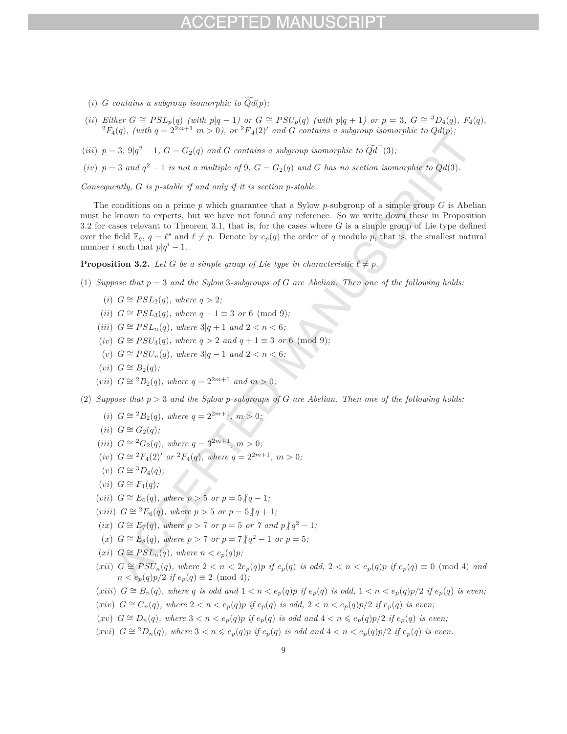- (*i*) *G* contains a subgroup isomorphic to  $Qd(p)$ ;
- (ii) Either  $G \cong PSL_p(q)$  (with  $p|q-1$ ) or  $G \cong PSU_p(q)$  (with  $p|q+1$ ) or  $p = 3$ ,  $G \cong {}^3D_4(q)$ ,  $F_4(q)$ ,  ${}^2F_4(q)$ ,  $(vith q = 2^{2m+1} m > 0)$ , or  ${}^2F_4(2)'$  and  $G$  contains a subgroup isomorphic to  $Qd(p)$ ;
- (*iii*)  $p = 3$ , 9| $q^2 1$ ,  $G = G_2(q)$  and *G* contains a subgroup isomorphic to  $\widetilde{Qd}^-(3)$ ;
- (*iv*)  $p = 3$  *and*  $q^2 1$  *is not a multiple of* 9*,*  $G = G_2(q)$  *and G has no section isomorphic to*  $Qd(3)$ *.*

*Consequently, G is p-stable if and only if it is section p-stable.*

The conditions on a prime *p* which guarantee that a Sylow *p*-subgroup of a simple group *G* is Abelian must be known to experts, but we have not found any reference. So we write down these in Proposition 3.2 for cases relevant to Theorem 3.1, that is, for the cases where *G* is a simple group of Lie type defined over the field  $\mathbb{F}_q$ ,  $q = \ell^s$  and  $\ell \neq p$ . Denote by  $e_p(q)$  the order of q modulo p, that is, the smallest natural number *i* such that  $p|q^i - 1$ .

**Proposition 3.2.** *Let G be a simple group of Lie type in characteristic*  $\ell \neq p$ *.* 

- (1) *Suppose that p* = 3 *and the Sylow* 3*-subgroups of G are Abelian. Then one of the following holds:*
	- (*i*)  $G \cong PSL_2(q)$ *, where*  $q > 2$ *;*
	- $(iii)$   $G \cong PSL<sub>3</sub>(q)$ *, where*  $q 1 \equiv 3$  *or* 6 (mod 9)*;*
	- (*iii*)  $G \cong PSL_n(q)$ *, where*  $3|q+1$  *and*  $2 < n < 6$ *;*
	- $(iv)$   $G \cong PSU_{3}(q)$ *, where*  $q > 2$  *and*  $q + 1 \equiv 3$  *or* 6 (mod 9)*;*
	- (*v*)  $G \cong PSU_{n}(q)$ , where  $3|q-1$  and  $2 < n < 6$ ;
	- $(vi)$   $G \cong B_2(q)$ ;
	- $(vii)$   $G \cong {}^2B_2(q)$ *, where*  $q = 2^{2m+1}$  *and*  $m > 0$ *;*
- (2) *Suppose that*  $p > 3$  *and the Sylow p-subgroups of*  $G$  *are Abelian. Then one of the following holds:*

(i) 
$$
G \cong {}^2B_2(q)
$$
, where  $q = 2^{2m+1}$ ,  $m > 0$ ;

- $(ii)$   $G \cong G_2(q)$ ;
- $(iii)$   $G \cong {}^{2}G_{2}(q)$ *, where*  $q = 3^{2m+1}$ *, m >* 0*;*
- $(iv)$   $G \cong {}^{2}F_{4}(2)'$  or  ${}^{2}F_{4}(q)$ *, where*  $q = 2^{2m+1}$ *, m* > 0*;*
- $(v)$  *G*  $\cong$  <sup>3</sup>*D*<sub>4</sub> $(q)$ ;
- $(vi)$  *G*  $\cong$   $F_4(q)$ ;
- $(vii)$  *G* ≅  $E_6(q)$ *, where*  $p > 5$  *or*  $p = 5 / q 1$ *;*
- $(viii)$  *G*  $\cong$  <sup>2</sup>*E*<sub>6</sub>(*q*)*,* where *p* > 5 *or p* = 5  $/q + 1$ *;*
- (*ix*)  $G \cong E_7(q)$ *, where*  $p > 7$  *or*  $p = 5$  *or*  $7$  *and*  $p/q^2 1$ *;*
- (*x*)  $G \cong E_8(q)$ *, where*  $p > 7$  *or*  $p = 7/q^2 1$  *or*  $p = 5$ *;*
- $(xi)$   $G \cong PSL_n(q)$ , where  $n < e_p(q)p$ ;
- $(xii)$   $G \cong PSU_{n}(q)$ , where  $2 < n < 2e_{p}(q)p$  if  $e_{p}(q)$  is odd,  $2 < n < e_{p}(q)p$  if  $e_{p}(q) \equiv 0 \pmod{4}$  and  $n < e_p(q)p/2$  *if*  $e_p(q) \equiv 2 \pmod{4}$ ;
- (*xiii*)  $G \cong B_n(q)$ , where q is odd and  $1 < n < e_p(q)p$  if  $e_p(q)$  is odd,  $1 < n < e_p(q)p/2$  if  $e_p(q)$  is even;
- (*xiv*)  $G \cong C_n(q)$ , where  $2 < n < e_p(q)p$  if  $e_p(q)$  is odd,  $2 < n < e_p(q)p/2$  if  $e_p(q)$  is even;
- $(xv)$   $G \cong D_n(q)$ , where  $3 < n < e_p(q)p$  if  $e_p(q)$  is odd and  $4 < n \leqslant e_p(q)p/2$  if  $e_p(q)$  is even,
- $(xvi)$   $G \cong {}^2D_n(q)$ , where  $3 < n \leqslant e_p(q)p$  if  $e_p(q)$  is odd and  $4 < n < e_p(q)p/2$  if  $e_p(q)$  is even.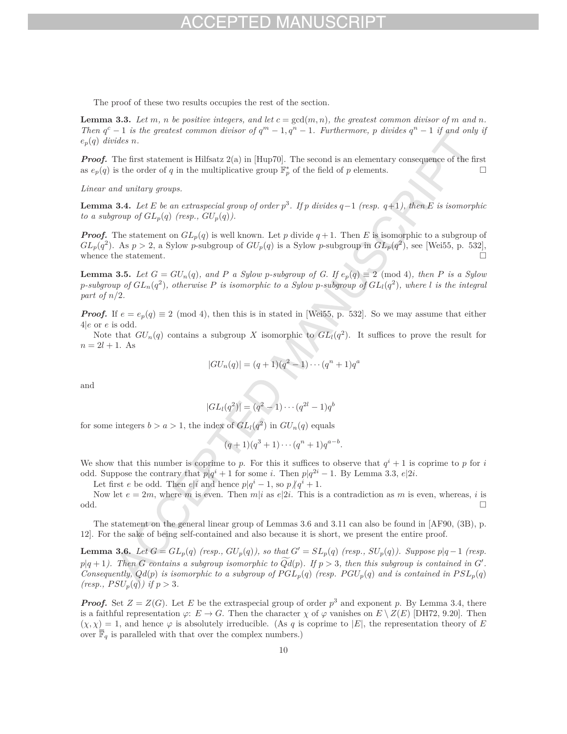The proof of these two results occupies the rest of the section.

**Lemma 3.3.** Let  $m, n$  be positive integers, and let  $c = \gcd(m, n)$ , the greatest common divisor of  $m$  and  $n$ . *Then*  $q^c - 1$  *is the greatest common divisor of*  $q^m - 1, q^n - 1$ . Furthermore, *p divides*  $q^n - 1$  *if and only if*  $e_p(q)$  *divides n*.

*Proof.* The first statement is Hilfsatz 2(a) in [Hup70]. The second is an elementary consequence of the first as  $e_p(q)$  is the order of *q* in the multiplicative group  $\mathbb{F}_p^*$  of the field of *p* elements.

*Linear and unitary groups.*

**Lemma 3.4.** *Let <sup>E</sup> be an extraspecial group of order <sup>p</sup>*<sup>3</sup>*. If <sup>p</sup> divides <sup>q</sup>*−<sup>1</sup> *(resp. <sup>q</sup>*+1*), then <sup>E</sup> is isomorphic to a subgroup of*  $GL_p(q)$  (resp.,  $GU_p(q)$ ).

*Proof.* The statement on  $GL_p(q)$  is well known. Let *p* divide  $q+1$ . Then *E* is isomorphic to a subgroup of  $GL_p(q^2)$ . As  $p > 2$ , a Sylow *p*-subgroup of  $GU_p(q)$  is a Sylow *p*-subgroup in  $GL_p(q^2)$ , see [Wei55, p. 532], whence the statement.  $\hfill\Box$ 

**Lemma 3.5.** Let  $G = GU_n(q)$ , and P a Sylow p-subgroup of G. If  $e_p(q) \equiv 2 \pmod{4}$ , then P is a Sylow *p*-subgroup of  $GL_n(q^2)$ , otherwise P is isomorphic to a Sylow *p*-subgroup of  $GL_l(q^2)$ , where *l* is the integral *part of n/*2*.*

*Proof.* If  $e = e_p(q) \equiv 2 \pmod{4}$ , then this is in stated in [Wei55, p. 532]. So we may assume that either 4|*e* or *e* is odd.

Note that  $GU_n(q)$  contains a subgroup X isomorphic to  $GL_l(q^2)$ . It suffices to prove the result for  $n = 2l + 1$ . As

$$
|GU_n(q)| = (q+1)(q^2-1)\cdots(q^n+1)q^n
$$

and

$$
|GL_l(q^2)| = (q^2 - 1) \cdots (q^{2l} - 1)q^b
$$

for some integers  $b > a > 1$ , the index of  $GL_l(q^2)$  in  $GU_n(q)$  equals

$$
(q+1)(q^3+1)\cdots(q^n+1)q^{a-b}.
$$

We show that this number is coprime to  $p$ . For this it suffices to observe that  $q^i + 1$  is coprime to  $p$  for  $i$ odd. Suppose the contrary that  $p|q^i + 1$  for some *i*. Then  $p|q^{2i} - 1$ . By Lemma 3.3,  $e|2i$ .

Let first *e* be odd. Then *e*|*i* and hence  $p|q^i - 1$ , so  $p/q^i + 1$ .

Now let  $e = 2m$ , where  $m$  is even. Then  $m|i$  as  $e|2i$ . This is a contradiction as  $m$  is even, whereas,  $i$  is odd. odd.

The statement on the general linear group of Lemmas 3.6 and 3.11 can also be found in [AF90, (3B), p. 12]. For the sake of being self-contained and also because it is short, we present the entire proof.

**Lemma 3.6.** Let  $G = GL_p(q)$  (resp.,  $GU_p(q)$ ), so that  $G' = SL_p(q)$  (resp.,  $SU_p(q)$ ). Suppose  $p|q-1$  (resp.  $p|q+1$ ). Then *G* contains a subgroup isomorphic to  $Qd(p)$ . If  $p > 3$ , then this subgroup is contained in  $G'$ . *Consequently,*  $Qd(p)$  *is isomorphic to a subgroup of*  $PGL_p(q)$  *(resp.*  $PGU_p(q)$  *and is contained in*  $PSL_p(q)$  $(resp., PSU_p(q))$  if  $p > 3$ .

*Proof.* Set  $Z = Z(G)$ . Let *E* be the extraspecial group of order  $p^3$  and exponent *p*. By Lemma 3.4, there is a faithful representation  $\varphi: E \to G$ . Then the character  $\chi$  of  $\varphi$  vanishes on  $E \setminus Z(E)$  [DH72, 9.20]. Then  $(\chi, \chi) = 1$ , and hence  $\varphi$  is absolutely irreducible. (As q is coprime to |*E*|, the representation theory of *E* over  $\mathbb{F}_q$  is paralleled with that over the complex numbers.)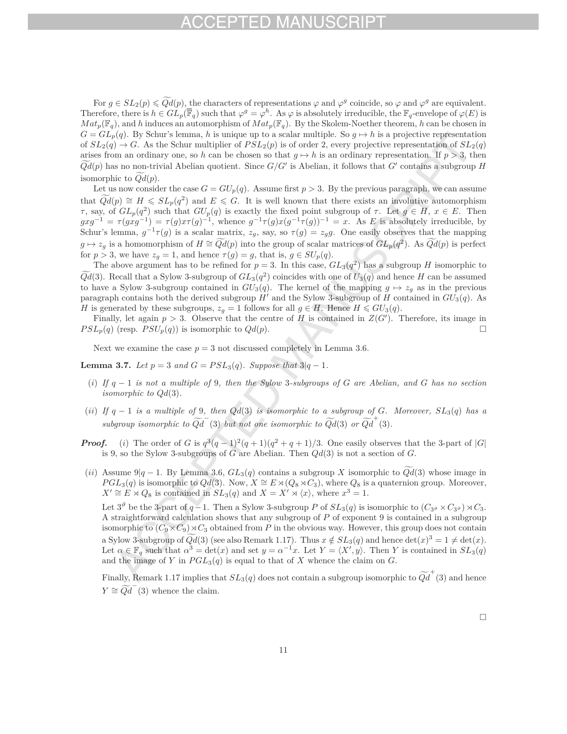For  $g \in SL_2(p) \leq Qd(p)$ , the characters of representations  $\varphi$  and  $\varphi^g$  coincide, so  $\varphi$  and  $\varphi^g$  are equivalent. Therefore, there is  $h \in GL_p(\overline{\mathbb{F}}_q)$  such that  $\varphi^g = \varphi^h$ . As  $\varphi$  is absolutely irreducible, the  $\mathbb{F}_q$ -envelope of  $\varphi(E)$  is  $Mat_p(\mathbb{F}_q)$ , and *h* induces an automorphism of  $Mat_p(\mathbb{F}_q)$ . By the Skolem-Noether theorem, *h* can be chosen in  $G = GL_p(q)$ . By Schur's lemma, *h* is unique up to a scalar multiple. So  $g \mapsto h$  is a projective representation of  $SL_2(q) \to G$ . As the Schur multiplier of  $PSL_2(p)$  is of order 2, every projective representation of  $SL_2(q)$ arises from an ordinary one, so *h* can be chosen so that  $g \mapsto h$  is an ordinary representation. If  $p > 3$ , then  $Qd(p)$  has no non-trivial Abelian quotient. Since  $G/G'$  is Abelian, it follows that  $G'$  contains a subgroup *H* isomorphic to *Qd* (*p*).

Let us now consider the case  $G = GU_p(q)$ . Assume first  $p > 3$ . By the previous paragraph, we can assume that  $Qd(p) \cong H \leqslant SL_p(q^2)$  and  $E \leqslant G$ . It is well known that there exists an involutive automorphism *τ*, say, of  $GL_p(q^2)$  such that  $GU_p(q)$  is exactly the fixed point subgroup of *τ*. Let  $g \in H$ ,  $x \in E$ . Then  $g x g^{-1} = \tau (g x g^{-1}) = \tau (g) x \tau (g)^{-1}$ , whence  $g^{-1} \tau (g) x (g^{-1} \tau (g))^{-1} = x$ . As *E* is absolutely irreducible, by Schur's lemma,  $g^{-1}\tau(g)$  is a scalar matrix,  $z_g$ , say, so  $\tau(g) = z_g g$ . One easily observes that the mapping  $g \mapsto z_g$  is a homomorphism of  $H \cong \widetilde{Qd}(p)$  into the group of scalar matrices of  $GL_p(q^2)$ . As  $\widetilde{Qd}(p)$  is perfect for  $p > 3$ , we have  $z_g = 1$ , and hence  $\tau(g) = g$ , that is,  $g \in SU_p(q)$ .

The above argument has to be refined for  $p = 3$ . In this case,  $GL_3(q^2)$  has a subgroup *H* isomorphic to  $Qd(3)$ . Recall that a Sylow 3-subgroup of  $GL_3(q^2)$  coincides with one of  $U_3(q)$  and hence *H* can be assumed to have a Sylow 3-subgroup contained in  $GU_3(q)$ . The kernel of the mapping  $q \mapsto z_q$  as in the previous paragraph contains both the derived subgroup  $H'$  and the Sylow 3-subgroup of  $H$  contained in  $GU_3(q)$ . As *H* is generated by these subgroups,  $z_g = 1$  follows for all  $g \in H$ . Hence  $H \leq G U_3(q)$ .

Finally, let again  $p > 3$ . Observe that the centre of *H* is contained in  $Z(G')$ . Therefore, its image in  $PSL_p(q)$  (resp.  $PSU_p(q)$ ) is isomorphic to  $Qd(p)$ .

Next we examine the case  $p = 3$  not discussed completely in Lemma 3.6.

**Lemma 3.7.** *Let*  $p = 3$  *and*  $G = PSL<sub>3</sub>(q)$ *. Suppose that*  $3|q-1$ *.* 

- (*i*) *If q* − 1 *is not a multiple of* 9*, then the Sylow* 3*-subgroups of G are Abelian, and G has no section isomorphic to Qd*(3)*.*
- (*ii*) If  $q 1$  *is a multiple of* 9*, then*  $Qd(3)$  *is isomorphic to a subgroup of G. Moreover,*  $SL_3(q)$  *has a subgroup isomorphic to*  $\widetilde{Qd}^-(3)$  *but not one isomorphic to*  $\widetilde{Qd}(3)$  *or*  $\widetilde{Qd}^+(3)$ *.*
- *Proof.* (*i*) The order of *G* is  $q^3(q-1)^2(q+1)(q^2+q+1)/3$ . One easily observes that the 3-part of |*G*| is 9, so the Sylow 3-subgroups of *G* are Abelian. Then *Qd*(3) is not a section of *G*.
- (*ii*) Assume 9|*q* − 1. By Lemma 3.6, *GL*3(*q*) contains a subgroup *X* isomorphic to *Qd* (3) whose image in  $PGL_3(q)$  is isomorphic to  $Qd(3)$ . Now,  $X \cong E \rtimes (Q_8 \rtimes C_3)$ , where  $Q_8$  is a quaternion group. Moreover,  $X' \cong E \rtimes Q_8$  is contained in  $SL_3(q)$  and  $X = X' \rtimes \langle x \rangle$ , where  $x^3 = 1$ .

Let  $3^{\vartheta}$  be the 3-part of  $q-1$ . Then a Sylow 3-subgroup *P* of  $SL_3(q)$  is isomorphic to  $(C_{3^{\vartheta}} \times C_{3^{\vartheta}}) \rtimes C_3$ . A straightforward calculation shows that any subgroup of *P* of exponent 9 is contained in a subgroup isomorphic to  $(C_9 \times C_9) \rtimes C_3$  obtained from *P* in the obvious way. However, this group does not contain a Sylow 3-subgroup of  $Qd(3)$  (see also Remark 1.17). Thus  $x \notin SL_3(q)$  and hence  $\det(x)^3 = 1 \neq \det(x)$ . Let  $\alpha \in \mathbb{F}_q$  such that  $\alpha^3 = \det(x)$  and set  $y = \alpha^{-1}x$ . Let  $Y = \langle X', y \rangle$ . Then *Y* is contained in  $SL_3(q)$ and the image of  $Y$  in  $PGL_3(q)$  is equal to that of  $X$  whence the claim on  $G$ .

Finally, Remark 1.17 implies that  $SL_3(q)$  does not contain a subgroup isomorphic to  $\widetilde{Qd}^+(3)$  and hence  $Y \cong \widetilde{Qd}^{-}(3)$  whence the claim.

 $\Box$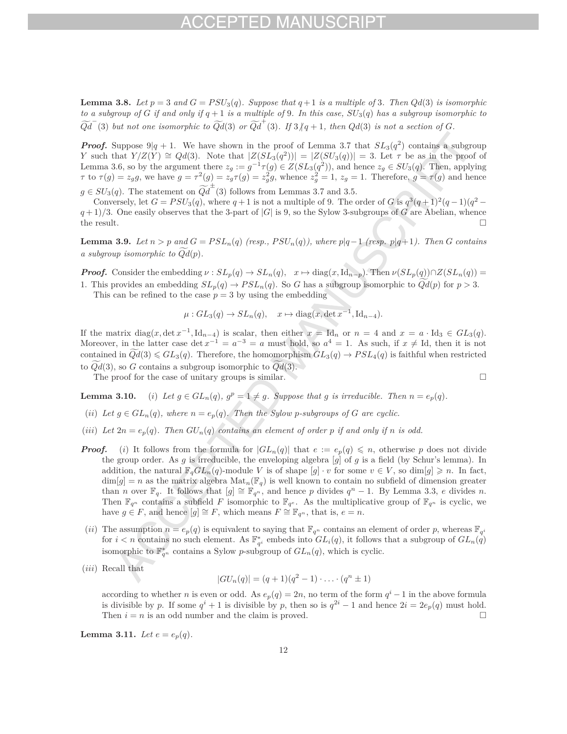**Lemma 3.8.** Let  $p = 3$  and  $G = PSU_3(q)$ *. Suppose that*  $q + 1$  *is a multiple of* 3*. Then*  $Qd(3)$  *is isomorphic to a subgroup of*  $G$  *if and only if*  $q + 1$  *is a multiple of* 9*. In this case,*  $SU_3(q)$  *has a subgroup isomorphic to*  $\widetilde{Qd}^-(3)$  *but not one isomorphic to*  $\widetilde{Qd}(3)$  *or*  $\widetilde{Qd}^+(3)$ *. If*  $3/q+1$ *, then*  $Qd(3)$  *is not a section of G.* 

*Proof.* Suppose  $9|q+1$ . We have shown in the proof of Lemma 3.7 that  $SL_3(q^2)$  contains a subgroup *Y* such that *Y*/*Z*(*Y*) ≅  $Qd(3)$ . Note that  $|Z(SL_3(q^2))| = |Z(SU_3(q))| = 3$ . Let  $\tau$  be as in the proof of Lemma 3.6, so by the argument there  $z_g := g^{-1} \tau(g) \in Z(SL_3(q^2))$ , and hence  $z_g \in SU_3(q)$ . Then, applying  $\tau$  to  $\tau(g) = z_g g$ , we have  $g = \tau^2(g) = z_g \tau(g) = z_g^2 g$ , whence  $z_g^2 = 1$ ,  $z_g = 1$ . Therefore,  $g = \tau(g)$  and hence  $g \in SU_3(q)$ . The statement on  $\widetilde{Qd}^{\pm}(3)$  follows from Lemmas 3.7 and 3.5.

Conversely, let  $G = PSU_3(q)$ , where  $q+1$  is not a multiple of 9. The order of *G* is  $q^3(q+1)^2(q-1)(q^2$  $q+1/3$ . One easily observes that the 3-part of  $|G|$  is 9, so the Sylow 3-subgroups of *G* are Abelian, whence the result. the result.

**Lemma 3.9.** Let  $n > p$  and  $G = PSL_n(q)$  (resp.,  $PSU_n(q)$ ), where  $p|q-1$  (resp.  $p|q+1$ ). Then G contains *a subgroup isomorphic to Qd* (*p*)*.*

**Proof.** Consider the embedding  $\nu : SL_p(q) \to SL_n(q)$ ,  $x \mapsto diag(x, \text{Id}_{n-p})$ . Then  $\nu(SL_p(q)) \cap Z(SL_n(q)) =$ 1. This provides an embedding  $SL_p(q) \to PSL_n(q)$ . So *G* has a subgroup isomorphic to  $Qd(p)$  for  $p > 3$ .

This can be refined to the case  $p = 3$  by using the embedding

$$
\mu: GL_3(q) \to SL_n(q), \quad x \mapsto diag(x, \det x^{-1}, \mathrm{Id}_{n-4}).
$$

If the matrix diag(*x*, det  $x^{-1}$ , Id<sub>*n*</sub>−4) is scalar, then either  $x = \text{Id}_n$  or  $n = 4$  and  $x = a \cdot \text{Id}_3 \in GL_3(q)$ . Moreover, in the latter case det  $x^{-1} = a^{-3} = a$  must hold, so  $a^4 = 1$ . As such, if  $x \neq Id$ , then it is not contained in  $Qd(3) \leqslant GL_3(q)$ . Therefore, the homomorphism  $GL_3(q) \to PSL_4(q)$  is faithful when restricted to  $Qd(3)$ , so *G* contains a subgroup isomorphic to  $Qd(3)$ .

The proof for the case of unitary groups is similar.  $\Box$ 

**Lemma 3.10.** (*i*) Let  $g \in GL_n(q)$ ,  $g^p = 1 \neq g$ . Suppose that *g* is irreducible. Then  $n = e_p(q)$ .

- (*ii*) Let  $g \in GL_n(q)$ , where  $n = e_p(q)$ . Then the Sylow p-subgroups of G are cyclic.
- (*iii*) Let  $2n = e_p(q)$ . Then  $GU_n(q)$  contains an element of order p if and only if n is odd.
- *Proof.* (*i*) It follows from the formula for  $|GL_n(q)|$  that  $e := e_p(q) \leq n$ , otherwise *p* does not divide the group order. As *g* is irreducible, the enveloping algebra [*g*] of *g* is a field (by Schur's lemma). In addition, the natural  $\mathbb{F}_q GL_n(q)$ -module *V* is of shape  $[g] \cdot v$  for some  $v \in V$ , so dim $[g] \geq n$ . In fact,  $\dim[g] = n$  as the matrix algebra  $\text{Mat}_n(\mathbb{F}_q)$  is well known to contain no subfield of dimension greater than *n* over  $\mathbb{F}_q$ . It follows that  $[g] \cong \mathbb{F}_{q^n}$ , and hence *p* divides  $q^n - 1$ . By Lemma 3.3, *e* divides *n*. Then  $\mathbb{F}_{q^n}$  contains a subfield *F* isomorphic to  $\mathbb{F}_{q^e}$ . As the multiplicative group of  $\mathbb{F}_{q^n}$  is cyclic, we have  $g \in F$ , and hence  $[g] \cong F$ , which means  $F \cong \mathbb{F}_{q^n}$ , that is,  $e = n$ .
- (*ii*) The assumption  $n = e_p(q)$  is equivalent to saying that  $\mathbb{F}_{q^n}$  contains an element of order p, whereas  $\mathbb{F}_{q^i}$ for  $i < n$  contains no such element. As  $\mathbb{F}_{q^i}^*$  embeds into  $GL_i(q)$ , it follows that a subgroup of  $GL_n(q)$ isomorphic to  $\mathbb{F}_{q^n}^*$  contains a Sylow *p*-subgroup of  $GL_n(q)$ , which is cyclic.
- (*iii*) Recall that

$$
|GU_n(q)| = (q+1)(q^2-1)\cdot \ldots \cdot (q^n \pm 1)
$$

according to whether *n* is even or odd. As  $e_p(q) = 2n$ , no term of the form  $q^i - 1$  in the above formula is divisible by *p*. If some  $q^i + 1$  is divisible by *p*, then so is  $q^{2i} - 1$  and hence  $2i = 2e_p(q)$  must hold.<br>Then *i* = *n* is an odd number and the claim is proved Then  $i = n$  is an odd number and the claim is proved.

**Lemma 3.11.** *Let*  $e = e_p(q)$ *.*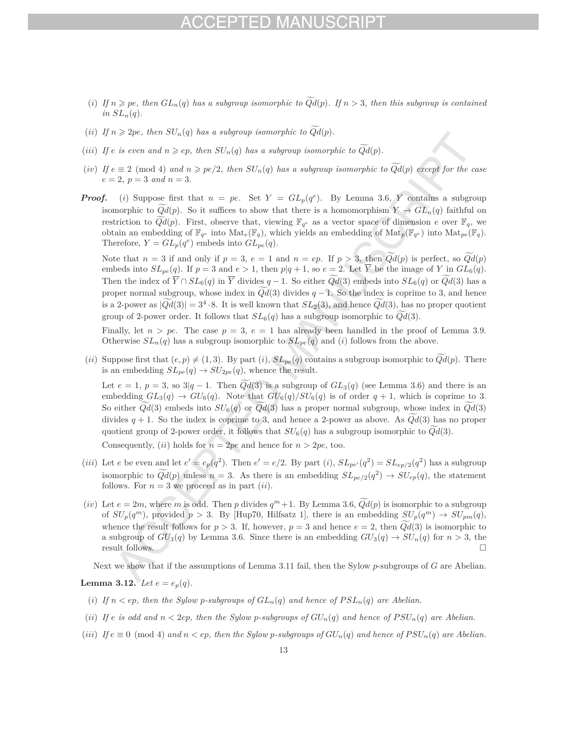## $-1)$

- (*i*) If  $n \geqslant pe$ , then  $GL_n(q)$  has a subgroup isomorphic to  $Qd(p)$ . If  $n > 3$ , then this subgroup is contained  $in SL_n(q)$ .
- (*ii*) If  $n \geqslant 2pe$ , then  $SU_n(q)$  has a subgroup isomorphic to  $Qd(p)$ .
- (*iii*) If  $e$  *is even and*  $n \ge ep$ , then  $SU_n(q)$  has a subgroup isomorphic to  $Qd(p)$ .
- $(iv)$  *If*  $e \equiv 2 \pmod{4}$  and  $n \geqslant pe/2$ , then  $SU_n(q)$  has a subgroup isomorphic to  $Qd(p)$  except for the case  $e = 2, p = 3 \text{ and } n = 3.$
- *Proof.* (*i*) Suppose first that  $n = pe$ . Set  $Y = GL_p(q^e)$ . By Lemma 3.6, *Y* contains a subgroup isomorphic to  $Qd(p)$ . So it suffices to show that there is a homomorphism  $Y \to GL_n(q)$  faithful on restriction to  $Qd(p)$ . First, observe that, viewing  $\mathbb{F}_{q^e}$  as a vector space of dimension *e* over  $\mathbb{F}_q$ , we obtain an embedding of  $\mathbb{F}_{q^e}$  into  $\text{Mat}_{e}(\mathbb{F}_q)$ , which yields an embedding of  $\text{Mat}_{p}(\mathbb{F}_{q^e})$  into  $\text{Mat}_{pe}(\mathbb{F}_q)$ . Therefore,  $Y = GL_p(q^e)$  embeds into  $GL_{pe}(q)$ .

Note that  $n = 3$  if and only if  $p = 3$ ,  $e = 1$  and  $n = ep$ . If  $p > 3$ , then  $Qd(p)$  is perfect, so  $Qd(p)$ embeds into  $SL_{pe}(q)$ . If  $p = 3$  and  $e > 1$ , then  $p|q + 1$ , so  $e = 2$ . Let  $\overline{Y}$  be the image of *Y* in  $GL_6(q)$ . Then the index of  $Y \cap SL_6(q)$  in  $Y$  divides  $q-1$ . So either  $Qd(3)$  embeds into  $SL_6(q)$  or  $Qd(3)$  has a proper normal subgroup, whose index in *Qd* (3) divides *q* − 1. So the index is coprime to 3, and hence is a 2-power as  $|\widetilde{Qd}(3)| = 3^4 \cdot 8$ . It is well known that  $SL_2(3)$ , and hence  $\widetilde{Qd}(3)$ , has no proper quotient group of 2-power order. It follows that  $SL_6(q)$  has a subgroup isomorphic to  $Qd(3)$ .

Finally, let  $n > pe$ . The case  $p = 3$ ,  $e = 1$  has already been handled in the proof of Lemma 3.9. Otherwise  $SL_n(q)$  has a subgroup isomorphic to  $SL_{pe}(q)$  and (*i*) follows from the above.

(*ii*) Suppose first that  $(e, p) \neq (1, 3)$ . By part (*i*),  $SL_{pe}(q)$  contains a subgroup isomorphic to  $Qd(p)$ . There is an embedding  $SL_{pe}(q) \rightarrow SU_{2pe}(q)$ , whence the result.

Let  $e = 1$ ,  $p = 3$ , so  $3|q - 1$ . Then  $Qd(3)$  is a subgroup of  $GL_3(q)$  (see Lemma 3.6) and there is an embedding  $GL_3(q) \to GU_6(q)$ . Note that  $GU_6(q)/SU_6(q)$  is of order  $q+1$ , which is coprime to 3. So either *Qd* (3) embeds into *SU*6(*q*) or *Qd* (3) has a proper normal subgroup, whose index in *Qd* (3) divides  $q + 1$ . So the index is coprime to 3, and hence a 2-power as above. As  $Qd(3)$  has no proper quotient group of 2-power order, it follows that  $SU_6(q)$  has a subgroup isomorphic to  $Qd(3)$ .

Consequently, (*ii*) holds for  $n = 2pe$  and hence for  $n > 2pe$ , too.

- (*iii*) Let *e* be even and let  $e' = e_p(q^2)$ . Then  $e' = e/2$ . By part (*i*),  $SL_{pe'}(q^2) = SL_{ep/2}(q^2)$  has a subgroup isomorphic to  $\widetilde{Qd}(p)$  unless  $n = 3$ . As there is an embedding  $SL_{pe/2}(q^2) \rightarrow SU_{ep}(q)$ , the statement follows. For  $n = 3$  we proceed as in part *(ii)*.
- (*iv*) Let  $e = 2m$ , where *m* is odd. Then *p* divides  $q^m + 1$ . By Lemma 3.6,  $Qd(p)$  is isomorphic to a subgroup of  $SU_p(q^m)$ , provided  $p > 3$ . By [Hup70, Hilfsatz 1], there is an embedding  $SU_p(q^m) \to SU_{pm}(q)$ , whence the result follows for  $p > 3$ . If, however,  $p = 3$  and hence  $e = 2$ , then  $Qd(3)$  is isomorphic to a subgroup of  $GU_3(q)$  by Lemma 3.6. Since there is an embedding  $GU_3(q) \to SU_n(q)$  for  $n > 3$ , the result follows. result follows.

Next we show that if the assumptions of Lemma 3.11 fail, then the Sylow *p*-subgroups of *G* are Abelian.

**Lemma 3.12.** *Let*  $e = e_p(q)$ *.* 

- (*i*) If  $n < ep$ , then the Sylow *p*-subgroups of  $GL_n(q)$  and hence of  $PSL_n(q)$  are Abelian.
- (*ii*) If  $e$  is odd and  $n < 2ep$ , then the Sylow p-subgroups of  $GU_n(q)$  and hence of  $PSU_n(q)$  are Abelian.
- (*iii*)  $\text{If } e \equiv 0 \pmod{4} \text{ and } n < ep$ , then the Sylow p-subgroups of  $GU_n(q)$  and hence of  $PSU_n(q)$  are Abelian.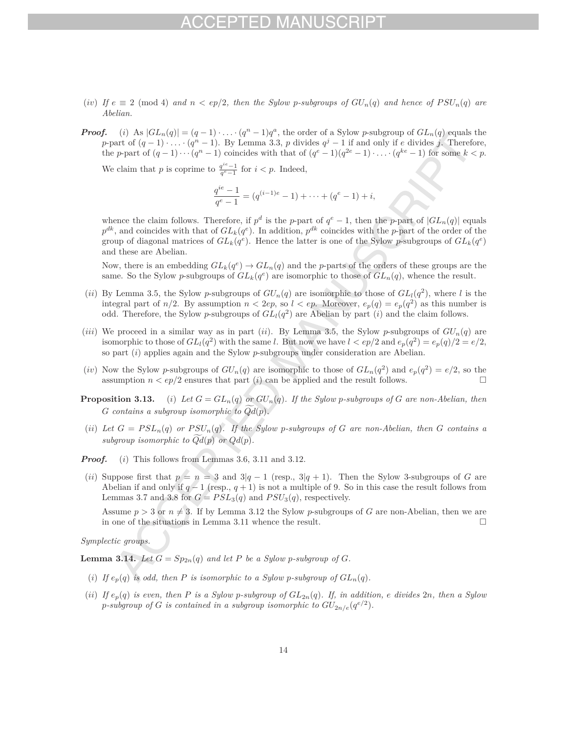- (*iv*) If  $e \equiv 2 \pmod{4}$  and  $n < ep/2$ , then the Sylow *p*-subgroups of  $GU_n(q)$  and hence of  $PSU_n(q)$  are *Abelian.*
- *Proof.* (*i*) As  $|GL_n(q)| = (q-1)\cdot \ldots \cdot (q^n-1)q^a$ , the order of a Sylow *p*-subgroup of  $GL_n(q)$  equals the *p*-part of  $(q - 1) \cdot \ldots \cdot (q^n - 1)$ . By Lemma 3.3, *p* divides  $q^j - 1$  if and only if *e* divides *j*. Therefore, the *p*-part of  $(q-1)\cdots(q^n-1)$  coincides with that of  $(q^e-1)(q^{2e}-1)\cdots(q^{ke}-1)$  for some  $k < p$ .

We claim that *p* is coprime to  $\frac{q^{ie}-1}{q^e-1}$  for  $i < p$ . Indeed,

$$
\frac{q^{ie}-1}{q^e-1} = (q^{(i-1)e}-1) + \dots + (q^e-1) + i,
$$

whence the claim follows. Therefore, if  $p^d$  is the *p*-part of  $q^e - 1$ , then the *p*-part of  $|GL_n(q)|$  equals  $p^{dk}$ , and coincides with that of  $GL_k(q^e)$ . In addition,  $p^{dk}$  coincides with the *p*-part of the order of the group of diagonal matrices of  $GL_k(q^e)$ . Hence the latter is one of the Sylow *p*-subgroups of  $GL_k(q^e)$ and these are Abelian.

Now, there is an embedding  $GL_k(q^e) \to GL_n(q)$  and the *p*-parts of the orders of these groups are the same. So the Sylow *p*-subgroups of  $GL_k(q^e)$  are isomorphic to those of  $GL_n(q)$ , whence the result.

- (*ii*) By Lemma 3.5, the Sylow *p*-subgroups of  $GU_n(q)$  are isomorphic to those of  $GL_l(q^2)$ , where *l* is the integral part of  $n/2$ . By assumption  $n < 2ep$ , so  $l < ep$ . Moreover,  $e_p(q) = e_p(q^2)$  as this number is odd. Therefore, the Sylow *p*-subgroups of  $GL_l(q^2)$  are Abelian by part (*i*) and the claim follows.
- (*iii*) We proceed in a similar way as in part (*ii*). By Lemma 3.5, the Sylow *p*-subgroups of  $GU_n(q)$  are isomorphic to those of  $GL_l(q^2)$  with the same *l*. But now we have  $l < ep/2$  and  $e_p(q^2) = e_p(q)/2 = e/2$ , so part (*i*) applies again and the Sylow *p*-subgroups under consideration are Abelian.
- (*iv*) Now the Sylow *p*-subgroups of  $GU_n(q)$  are isomorphic to those of  $GL_n(q^2)$  and  $e_p(q^2) = e/2$ , so the assumption  $n < ep/2$  ensures that part (*i*) can be applied and the result follows.
- **Proposition 3.13.** (*i*) Let  $G = GL_n(q)$  or  $GU_n(q)$ . If the Sylow p-subgroups of G are non-Abelian, then *G contains a subgroup isomorphic to Qd* (*p*)*.*
- (*ii*) Let  $G = PSL_n(q)$  or  $PSU_n(q)$ . If the Sylow *p*-subgroups of  $G$  are non-Abelian, then  $G$  contains a subgroup isomorphic to  $Qd(p)$  or  $Qd(p)$ .

*Proof.* (*i*) This follows from Lemmas 3.6, 3.11 and 3.12.

(*ii*) Suppose first that  $p = n = 3$  and  $3|q - 1$  (resp.,  $3|q + 1$ ). Then the Sylow 3-subgroups of *G* are Abelian if and only if  $q-1$  (resp.,  $q+1$ ) is not a multiple of 9. So in this case the result follows from Lemmas 3.7 and 3.8 for  $G = PSL<sub>3</sub>(q)$  and  $PSU<sub>3</sub>(q)$ , respectively.

Assume  $p > 3$  or  $n \neq 3$ . If by Lemma 3.12 the Sylow *p*-subgroups of *G* are non-Abelian, then we are in one of the situations in Lemma 3.11 whence the result. in one of the situations in Lemma 3.11 whence the result.

*Symplectic groups.*

**Lemma 3.14.** *Let*  $G = Sp_{2n}(q)$  *and let*  $P$  *be a Sylow p-subgroup of*  $G$ *.* 

- (*i*) If  $e_p(q)$  is odd, then P is isomorphic to a Sylow p-subgroup of  $GL_n(q)$ .
- (ii) If  $e_p(q)$  is even, then P is a Sylow p-subgroup of  $GL_{2n}(q)$ . If, in addition, e divides  $2n$ , then a Sylow *p*-subgroup of *G* is contained in a subgroup isomorphic to  $GU_{2n/e}(q^{e/2})$ .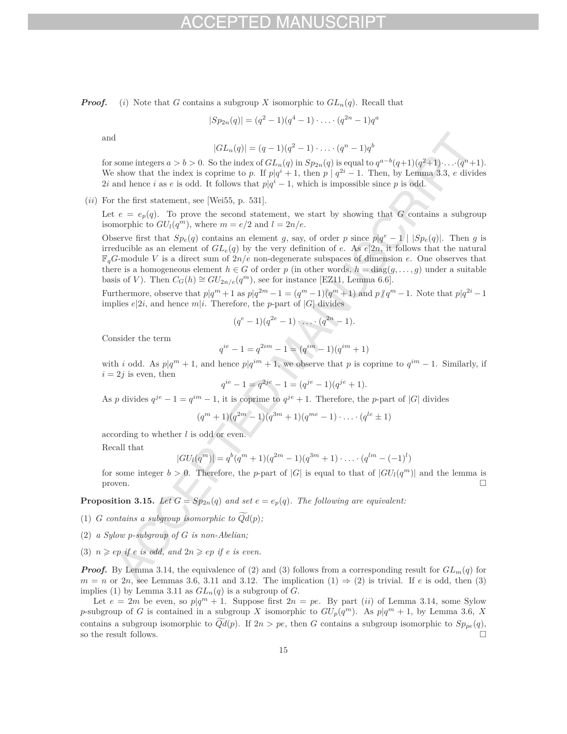*Proof.* (*i*) Note that *G* contains a subgroup *X* isomorphic to  $GL_n(q)$ . Recall that

$$
|Sp_{2n}(q)| = (q^2 - 1)(q^4 - 1) \cdot \ldots \cdot (q^{2n} - 1)q^a
$$

and

$$
|GL_n(q)| = (q-1)(q^2-1)\cdot \ldots \cdot (q^n-1)q^b
$$

for some integers  $a > b > 0$ . So the index of  $GL_n(q)$  in  $Sp_{2n}(q)$  is equal to  $q^{a-b}(q+1)(q^2+1)\cdots(q^n+1)$ . We show that the index is coprime to *p*. If  $p|q^i + 1$ , then  $p | q^{2i} - 1$ . Then, by Lemma 3.3, *e* divides 2*i* and hence *i* as *e* is odd. It follows that  $p|q^i - 1$ , which is impossible since *p* is odd.

(*ii*) For the first statement, see [Wei55, p. 531].

Let  $e = e_p(q)$ . To prove the second statement, we start by showing that *G* contains a subgroup isomorphic to  $GU_l(q^m)$ , where  $m = e/2$  and  $l = 2n/e$ .

Observe first that  $Sp_e(q)$  contains an element *g*, say, of order *p* since  $p|q^e-1|$   $|Sp_e(q)|$ . Then *g* is irreducible as an element of  $GL_e(q)$  by the very definition of *e*. As  $e|2n$ , it follows that the natural  $\mathbb{F}_{q}$ *G*-module *V* is a direct sum of  $2n/e$  non-degenerate subspaces of dimension *e*. One observes that there is a homogeneous element  $h \in G$  of order p (in other words,  $h = \text{diag}(g, \ldots, g)$ ) under a suitable basis of *V*). Then  $C_G(h) \cong GU_{2n/e}(q^m)$ , see for instance [EZ11, Lemma 6.6].

Furthermore, observe that  $p|q^m + 1$  as  $p|q^{2m} - 1 = (q^m - 1)(q^m + 1)$  and  $p/q^m - 1$ . Note that  $p|q^{2i} - 1$ implies  $e|2i$ , and hence  $m|i$ . Therefore, the *p*-part of  $|G|$  divides

$$
(q^e - 1)(q^{2e} - 1) \cdot \ldots \cdot (q^{2n} - 1).
$$

Consider the term

$$
q^{ie} - 1 = q^{2im} - 1 = (q^{im} - 1)(q^{im} + 1)
$$

with *i* odd. As  $p|q^m + 1$ , and hence  $p|q^{im} + 1$ , we observe that *p* is coprime to  $q^{im} - 1$ . Similarly, if  $i = 2i$  is even, then

$$
q^{ie} - 1 = q^{2je} - 1 = (q^{je} - 1)(q^{je} + 1).
$$

As *p* divides  $q^{je} - 1 = q^{im} - 1$ , it is coprime to  $q^{je} + 1$ . Therefore, the *p*-part of |*G*| divides

$$
(qm + 1)(q2m – 1)(q3m + 1)(qme – 1) · ... · (qle ± 1)
$$

according to whether *l* is odd or even.

Recall that

$$
|GU_l(q^m)| = q^b(q^m + 1)(q^{2m} - 1)(q^{3m} + 1) \cdot \ldots \cdot (q^{lm} - (-1)^l)
$$

for some integer  $b > 0$ . Therefore, the *p*-part of  $|G|$  is equal to that of  $|GU<sub>l</sub>(q<sup>m</sup>)|$  and the lemma is proven. proven.  $\Box$ 

**Proposition 3.15.** Let  $G = Sp_{2n}(q)$  and set  $e = e_p(q)$ . The following are equivalent:

- (1) *G* contains a subgroup isomorphic to  $Qd(p)$ ;
- (2) *a Sylow p-subgroup of G is non-Abelian;*
- (3)  $n \geq e^{\gamma}$  *if e is odd, and*  $2n \geq e^{\gamma}$  *if e is even.*

*Proof.* By Lemma 3.14, the equivalence of (2) and (3) follows from a corresponding result for  $GL_m(q)$  for  $m = n$  or 2*n*, see Lemmas 3.6, 3.11 and 3.12. The implication  $(1) \Rightarrow (2)$  is trivial. If *e* is odd, then (3) implies (1) by Lemma 3.11 as  $GL_n(q)$  is a subgroup of  $G$ .

Let  $e = 2m$  be even, so  $p|q^m + 1$ . Suppose first  $2n = pe$ . By part *(ii)* of Lemma 3.14, some Sylow *p*-subgroup of *G* is contained in a subgroup *X* isomorphic to  $GU_p(q^m)$ . As  $p|q^m + 1$ , by Lemma 3.6, *X* contains a subgroup isomorphic to  $Qd(p)$ . If  $2n > pe$ , then *G* contains a subgroup isomorphic to  $Sp_{pe}(q)$ , so the result follows.  $\Box$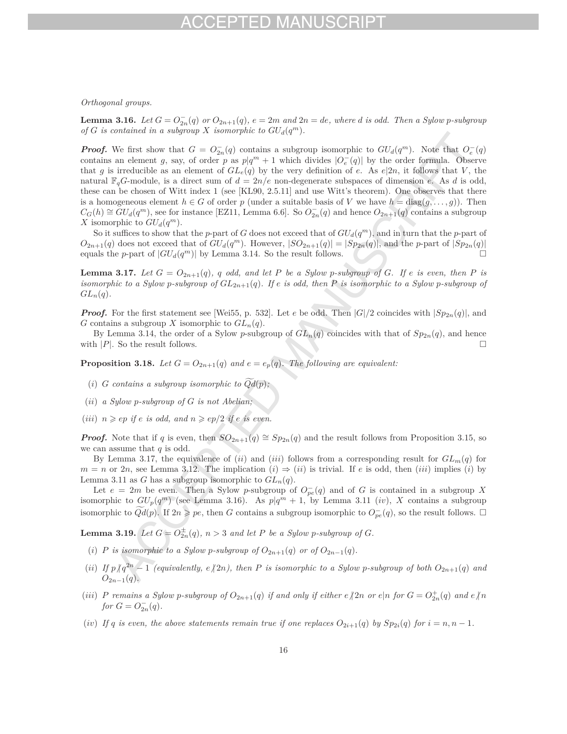## FPTED MAN

### *Orthogonal groups.*

**Lemma 3.16.** Let  $G = O_{2n}^-(q)$  or  $O_{2n+1}(q)$ ,  $e = 2m$  and  $2n = de$ , where d is odd. Then a Sylow p-subgroup *of G is contained in a subgroup X isomorphic to*  $GU_d(q^m)$ *.* 

*Proof.* We first show that  $G = O_{2n}^-(q)$  contains a subgroup isomorphic to  $GU_d(q^m)$ . Note that  $O_e^-(q)$ contains an element *g*, say, of order *p* as  $p|q^m + 1$  which divides  $|O_e^-(q)|$  by the order formula. Observe that *g* is irreducible as an element of  $GL_e(q)$  by the very definition of *e*. As  $e|2n$ , it follows that *V*, the natural  $\mathbb{F}_qG$ -module, is a direct sum of  $d = 2n/e$  non-degenerate subspaces of dimension *e*. As *d* is odd, these can be chosen of Witt index 1 (see [KL90, 2.5.11] and use Witt's theorem). One observes that there is a homogeneous element  $h \in G$  of order p (under a suitable basis of V we have  $h = \text{diag}(q, \ldots, q)$ ). Then  $C_G(h) \cong GU_d(q^m)$ , see for instance [EZ11, Lemma 6.6]. So  $O_{2n}^-(q)$  and hence  $O_{2n+1}(q)$  contains a subgroup *X* isomorphic to  $GU_d(q^m)$ .

So it suffices to show that the *p*-part of *G* does not exceed that of  $GU_d(q^m)$ , and in turn that the *p*-part of  $O_{2n+1}(q)$  does not exceed that of  $GU_d(q^m)$ . However,  $|SO_{2n+1}(q)| = |Sp_{2n}(q)|$ , and the *p*-part of  $|Sp_{2n}(q)|$  equals the *p*-part of  $|GIU_1(q^m)|$  by Lemma 3.14. So the result follows equals the *p*-part of  $|GU_d(q^m)|$  by Lemma 3.14. So the result follows.

**Lemma 3.17.** Let  $G = O_{2n+1}(q)$ , q odd, and let P be a Sylow p-subgroup of G. If e is even, then P is *isomorphic to a Sylow p-subgroup of*  $GL_{2n+1}(q)$ *. If*  $e$  *is odd, then*  $P$  *is isomorphic to a Sylow p-subgroup of*  $GL_n(q)$ .

*Proof.* For the first statement see [Wei55, p. 532]. Let *e* be odd. Then  $|G|/2$  coincides with  $|Sp_{2n}(q)|$ , and *G* contains a subgroup *X* isomorphic to  $GL_n(q)$ .

By Lemma 3.14, the order of a Sylow *p*-subgroup of  $GL_n(q)$  coincides with that of  $Sp_{2n}(q)$ , and hence with  $|P|$ . So the result follows.  $\Box$ 

**Proposition 3.18.** *Let*  $G = O_{2n+1}(q)$  *and*  $e = e_p(q)$ *. The following are equivalent:* 

- (*i*) *G* contains a subgroup isomorphic to  $Qd(p)$ ;
- (*ii*) *a Sylow p-subgroup of G is not Abelian;*
- (*iii*)  $n \ge ep$  *if*  $e$  *is odd, and*  $n \ge ep/2$  *if*  $e$  *is even.*

*Proof.* Note that if *q* is even, then  $SO_{2n+1}(q) \cong Sp_{2n}(q)$  and the result follows from Proposition 3.15, so we can assume that *q* is odd.

By Lemma 3.17, the equivalence of (*ii*) and (*iii*) follows from a corresponding result for  $GL_m(q)$  for  $m = n$  or 2*n*, see Lemma 3.12. The implication  $(i) \Rightarrow (ii)$  is trivial. If *e* is odd, then  $(iii)$  implies  $(i)$  by Lemma 3.11 as *G* has a subgroup isomorphic to  $GL_n(q)$ .

Let  $e = 2m$  be even. Then a Sylow *p*-subgroup of  $O_{pe}^-(q)$  and of *G* is contained in a subgroup *X* isomorphic to  $GU_p(q^m)$  (see Lemma 3.16). As  $p|q^m + 1$ , by Lemma 3.11 (*iv*), *X* contains a subgroup isomorphic to  $Qd(p)$ . If  $2n \geqslant pe$ , then *G* contains a subgroup isomorphic to  $O_{pe}^{-}(q)$ , so the result follows. □

**Lemma 3.19.** Let  $G = O_{2n}^{\pm}(q)$ ,  $n > 3$  and let P be a Sylow p-subgroup of G.

- (*i*) *P* is isomorphic to a Sylow *p*-subgroup of  $O_{2n+1}(q)$  or of  $O_{2n-1}(q)$ .
- (ii) If  $p/q^{2n} 1$  (equivalently,  $e/2n$ ), then P is isomorphic to a Sylow p-subgroup of both  $O_{2n+1}(q)$  and  $O_{2n-1}(q)$ .
- (iii) P remains a Sylow p-subgroup of  $O_{2n+1}(q)$  if and only if either  $e/2n$  or  $e|n$  for  $G = O_{2n}^+(q)$  and  $e/n$ *for*  $G = O_{2n}^-(q)$ *.*
- (*iv*) If *q* is even, the above statements remain true if one replaces  $O_{2i+1}(q)$  by  $Sp_{2i}(q)$  for  $i = n, n-1$ .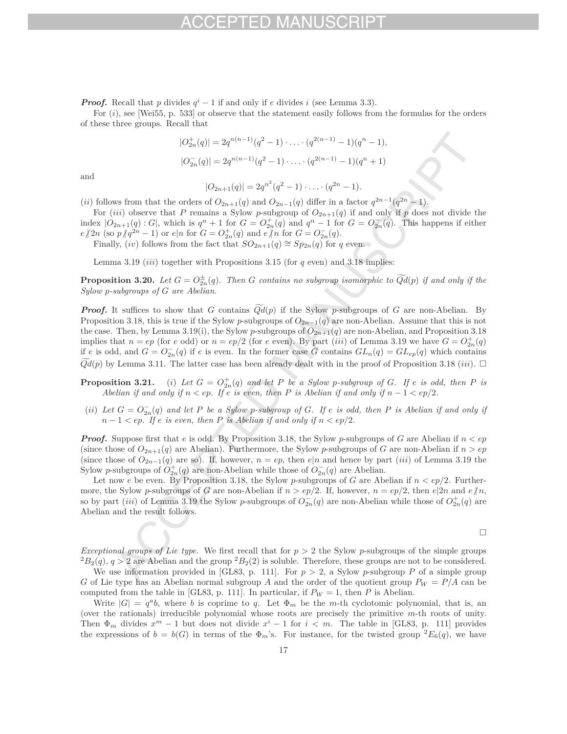*Proof.* Recall that *p* divides  $q^{i} - 1$  if and only if *e* divides *i* (see Lemma 3.3).

For (*i*), see [Wei55, p. 533] or observe that the statement easily follows from the formulas for the orders of these three groups. Recall that

$$
|O_{2n}^+(q)| = 2q^{n(n-1)}(q^2 - 1) \cdot \ldots \cdot (q^{2(n-1)} - 1)(q^n - 1),
$$
  

$$
|O_{2n}^-(q)| = 2q^{n(n-1)}(q^2 - 1) \cdot \ldots \cdot (q^{2(n-1)} - 1)(q^n + 1)
$$

and

$$
|O_{2n+1}(q)| = 2q^{n^2}(q^2 - 1) \cdot \ldots \cdot (q^{2n} - 1).
$$

(*ii*) follows from that the orders of  $O_{2n+1}(q)$  and  $O_{2n-1}(q)$  differ in a factor  $q^{2n-1}(q^{2n}-1)$ .

For (*iii*) observe that *P* remains a Sylow *p*-subgroup of  $O_{2n+1}(q)$  if and only if *p* does not divide the index  $|O_{2n+1}(q):G|$ , which is  $q^n + 1$  for  $G = O_{2n}^+(q)$  and  $q^n - 1$  for  $G = O_{2n}^-(q)$ . This happens if either  $e \nmid 2n$  (so  $p \nmid q^{2n} - 1$ ) or  $e|n$  for  $G = O_{2n}^+(q)$  and  $e \nmid n$  for  $G = O_{2n}^-(q)$ .

Finally, (*iv*) follows from the fact that  $SO_{2n+1}(q) \cong Sp_{2n}(q)$  for *q* even.

Lemma 3.19 (*iii*) together with Propositions 3.15 (for *q* even) and 3.18 implies:

**Proposition 3.20.** Let  $G = O_{2n}^{\pm}(q)$ . Then  $G$  contains no subgroup isomorphic to  $Qd(p)$  if and only if the *Sylow p-subgroups of G are Abelian.*

*Proof.* It suffices to show that *G* contains  $\widetilde{Qd}(p)$  if the Sylow *p*-subgroups of *G* are non-Abelian. By Proposition 3.18, this is true if the Sylow *p*-subgroups of  $O_{2n-1}(q)$  are non-Abelian. Assume that this is not the case. Then, by Lemma 3.19(i), the Sylow *p*-subgroups of  $O_{2n+1}(q)$  are non-Abelian, and Proposition 3.18 implies that  $n = ep$  (for *e* odd) or  $n = ep/2$  (for *e* even). By part (*iii*) of Lemma 3.19 we have  $G = O_{2n}^+(q)$ if *e* is odd, and  $G = O_{2n}^-(q)$  if *e* is even. In the former case *G* contains  $GL_n(q) = GL_{ep}(q)$  which contains  $Qd(p)$  by Lemma 3.11. The latter case has been already dealt with in the proof of Proposition 3.18 (*iii*).  $\Box$ 

**Proposition 3.21.** (i) Let  $G = O_{2n}^+(q)$  and let P be a Sylow p-subgroup of G. If e is odd, then P is *Abelian if and only if*  $n < ep$ *. If*  $e$  *is even, then*  $P$  *is Abelian if and only if*  $n - 1 < ep/2$ *.* 

(*ii*) Let  $G = O_{2n}^-(q)$  and let P be a Sylow p-subgroup of G. If  $e$  is odd, then P is Abelian if and only if  $n-1 < ep$ *. If*  $e$  *is even, then*  $P$  *is Abelian if and only if*  $n < ep/2$ *.* 

*Proof.* Suppose first that *e* is odd. By Proposition 3.18, the Sylow *p*-subgroups of *G* are Abelian if *n < ep* (since those of  $O_{2n+1}(q)$  are Abelian). Furthermore, the Sylow *p*-subgroups of *G* are non-Abelian if  $n > ep$ (since those of  $O_{2n-1}(q)$  are so). If, however,  $n = ep$ , then  $e|n$  and hence by part (*iii*) of Lemma 3.19 the Sylow *p*-subgroups of  $O_{2n}^+(q)$  are non-Abelian while those of  $O_{2n}^-(q)$  are Abelian.

Let now *e* be even. By Proposition 3.18, the Sylow *p*-subgroups of *G* are Abelian if  $n < ep/2$ . Furthermore, the Sylow *p*-subgroups of *G* are non-Abelian if  $n > ep/2$ . If, however,  $n = ep/2$ , then  $e|2n$  and  $e/n$ , so by part (*iii*) of Lemma 3.19 the Sylow *p*-subgroups of  $O_{2n}^-(q)$  are non-Abelian while those of  $O_{2n}^+(q)$  are Abelian and the result follows.

$$
\Box
$$

*Exceptional groups of Lie type.* We first recall that for *p >* 2 the Sylow *p*-subgroups of the simple groups  ${}^{2}B_{2}(q)$ ,  $q > 2$  are Abelian and the group  ${}^{2}B_{2}(2)$  is soluble. Therefore, these groups are not to be considered.

We use information provided in [GL83, p. 111]. For  $p > 2$ , a Sylow p-subgroup P of a simple group *G* of Lie type has an Abelian normal subgroup *A* and the order of the quotient group  $P_W = P/A$  can be computed from the table in [GL83, p. 111]. In particular, if  $P_W = 1$ , then *P* is Abelian.

Write  $|G| = q^a b$ , where *b* is coprime to *q*. Let  $\Phi_m$  be the *m*-th cyclotomic polynomial, that is, an (over the rationals) irreducible polynomial whose roots are precisely the primitive *m*-th roots of unity. Then  $\Phi_m$  divides  $x^m - 1$  but does not divide  $x^i - 1$  for  $i < m$ . The table in [GL83, p. 111] provides the expressions of  $b = b(G)$  in terms of the  $\Phi_m$ 's. For instance, for the twisted group  ${}^2E_6(q)$ , we have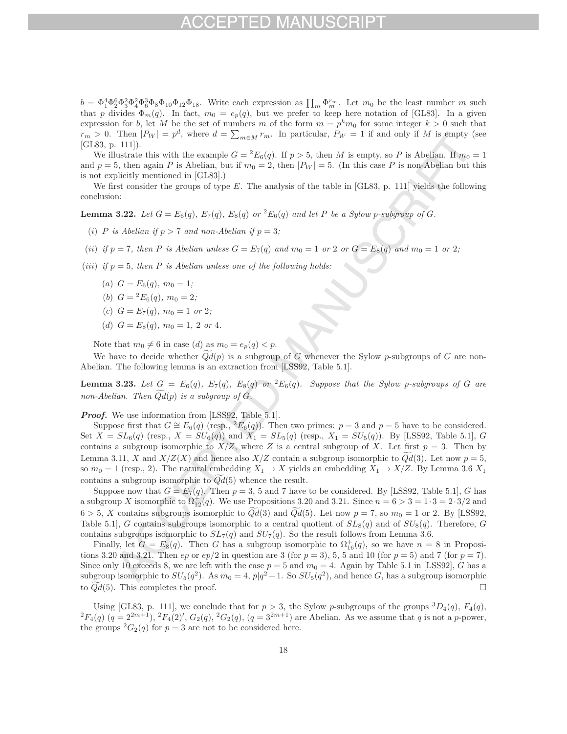$b = \Phi_1^4 \Phi_2^6 \Phi_3^2 \Phi_4^2 \Phi_6^3 \Phi_8 \Phi_{10} \Phi_{12} \Phi_{18}$ . Write each expression as  $\prod_m \Phi_m^{r_m}$ . Let  $m_0$  be the least number  $m$  such that *p* divides  $\Phi_m(q)$ . In fact,  $m_0 = e_p(q)$ , but we prefer to keep here notation of [GL83]. In a given expression for *b*, let *M* be the set of numbers *m* of the form  $m = p^k m_0$  for some integer  $k > 0$  such that  $r_m > 0$ . Then  $|P_W| = p^d$ , where  $d = \sum_{m \in M} r_m$ . In particular,  $P_W = 1$  if and only if *M* is empty (see [GL83, p. 111]).

We illustrate this with the example  $G = {}^2E_6(q)$ . If  $p > 5$ , then *M* is empty, so *P* is Abelian. If  $m_0 = 1$ and  $p = 5$ , then again *P* is Abelian, but if  $m_0 = 2$ , then  $|P_W| = 5$ . (In this case *P* is non-Abelian but this is not explicitly mentioned in [GL83].)

We first consider the groups of type *E*. The analysis of the table in [GL83, p. 111] yields the following conclusion:

**Lemma 3.22.** Let  $G = E_6(q)$ ,  $E_7(q)$ ,  $E_8(q)$  or  ${}^2E_6(q)$  and let P be a Sylow p-subgroup of G.

- (*i*) *P* is Abelian if  $p > 7$  and non-Abelian if  $p = 3$ ;
- (ii) if  $p = 7$ , then P is Abelian unless  $G = E_7(q)$  and  $m_0 = 1$  or  $2$  or  $G = E_8(q)$  and  $m_0 = 1$  or  $2$ ;
- (*iii*) *if*  $p = 5$ , then *P is Abelian unless one of the following holds:* 
	- $(a) G = E_6(q), m_0 = 1;$
	- (*b*)  $G = {}^{2}E_{6}(q)$ ,  $m_{0} = 2$ ;
	- (*c*)  $G = E_7(q)$ *,*  $m_0 = 1$  *or* 2*;*
	- (*d*)  $G = E_8(q)$ ,  $m_0 = 1$ , 2 *or* 4*.*

Note that  $m_0 \neq 6$  in case (*d*) as  $m_0 = e_p(q) < p$ .

We have to decide whether *Qd* (*p*) is a subgroup of *G* whenever the Sylow *p*-subgroups of *G* are non-Abelian. The following lemma is an extraction from [LSS92, Table 5.1].

**Lemma 3.23.** Let  $G = E_6(q)$ ,  $E_7(q)$ ,  $E_8(q)$  or  ${}^2E_6(q)$ . Suppose that the Sylow p-subgroups of G are *non-Abelian. Then Qd* (*p*) *is a subgroup of G.*

*Proof.* We use information from [LSS92, Table 5.1].

Suppose first that  $G \cong E_6(q)$  (resp., <sup>2</sup> $E_6(q)$ ). Then two primes:  $p = 3$  and  $p = 5$  have to be considered. Set  $X = SL_6(q)$  (resp.,  $X = SU_6(q)$ ) and  $X_1 = SL_5(q)$  (resp.,  $X_1 = SU_5(q)$ ). By [LSS92, Table 5.1], *G* contains a subgroup isomorphic to  $X/Z$ , where Z is a central subgroup of X. Let first  $p = 3$ . Then by Lemma 3.11, *X* and *X*/*Z*(*X*) and hence also *X*/*Z* contain a subgroup isomorphic to *Qd*(3). Let now  $p = 5$ , so  $m_0 = 1$  (resp., 2). The natural embedding  $X_1 \to X$  yields an embedding  $X_1 \to X/Z$ . By Lemma 3.6  $X_1$ contains a subgroup isomorphic to *Qd* (5) whence the result.

Suppose now that  $G = E_7(q)$ . Then  $p = 3, 5$  and 7 have to be considered. By [LSS92, Table 5.1], *G* has a subgroup *X* isomorphic to  $\Omega_{12}^+(q)$ . We use Propositions 3.20 and 3.21. Since  $n = 6 > 3 = 1 \cdot 3 = 2 \cdot 3/2$  and  $6 > 5$ , *X* contains subgroups isomorphic to  $Qd(3)$  and  $Qd(5)$ . Let now  $p = 7$ , so  $m_0 = 1$  or 2. By [LSS92, Table 5.1, *G* contains subgroups isomorphic to a central quotient of  $SL_8(q)$  and of  $SU_8(q)$ . Therefore, *G* contains subgroups isomorphic to  $SL_7(q)$  and  $SU_7(q)$ . So the result follows from Lemma 3.6.

Finally, let  $G = E_8(q)$ . Then *G* has a subgroup isomorphic to  $\Omega_{16}^+(q)$ , so we have  $n = 8$  in Propositions 3.20 and 3.21. Then *ep* or  $ep/2$  in question are 3 (for  $p = 3$ ), 5, 5 and 10 (for  $p = 5$ ) and 7 (for  $p = 7$ ). Since only 10 exceeds 8, we are left with the case  $p = 5$  and  $m_0 = 4$ . Again by Table 5.1 in [LSS92], *G* has a subgroup isomorphic to  $SU_5(q^2)$ . As  $m_0 = 4$ ,  $p|q^2 + 1$ . So  $SU_5(q^2)$ , and hence *G*, has a subgroup isomorphic to  $\widetilde{Qd}(5)$ . This completes the proof. to  $Qd(5)$ . This completes the proof.

Using [GL83, p. 111], we conclude that for  $p > 3$ , the Sylow p-subgroups of the groups  ${}^3D_4(q)$ ,  $F_4(q)$ ,  ${}^2F_4(q)$   $(q = 2^{2m+1})$ ,  ${}^2F_4(2)'$ ,  $G_2(q)$ ,  ${}^2G_2(q)$ ,  $(q = 3^{2m+1})$  are Abelian. As we assume that q is not a the groups  ${}^2G_2(q)$  for  $p=3$  are not to be considered here.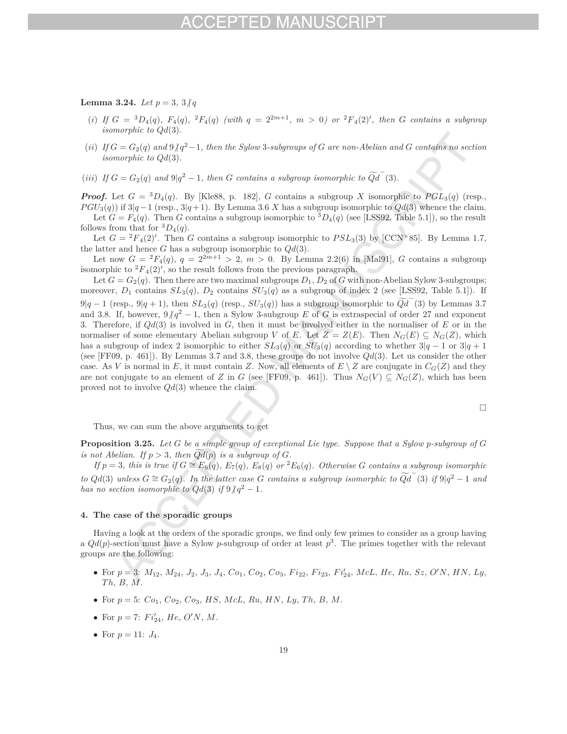## **Lemma 3.24.** *Let*  $p = 3, 3 \nmid q$

- (i) If  $G = {}^{3}D_{4}(q)$ ,  $F_{4}(q)$ ,  ${}^{2}F_{4}(q)$  (with  $q = 2^{2m+1}$ ,  $m > 0$ ) or  ${}^{2}F_{4}(2)'$ , then G contains a subgroup *isomorphic to Qd*(3)*.*
- $(iii)$  *If*  $G = G_2(q)$  and  $9/q^2 1$ , then the Sylow 3-subgroups of G are non-Abelian and G contains no section *isomorphic to Qd*(3)*.*
- (*iii*) *If*  $G = G_2(q)$  *and*  $9|q^2 1$ *, then G contains a subgroup isomorphic to*  $\widetilde{Qd}^-(3)$ *.*

*Proof.* Let  $G = {}^{3}D_{4}(q)$ . By [Kle88, p. 182], *G* contains a subgroup *X* isomorphic to  $PGL_{3}(q)$  (resp.,  $PGU_3(q)$ ) if  $3|q-1$  (resp.,  $3|q+1$ ). By Lemma 3.6 *X* has a subgroup isomorphic to  $Qd(3)$  whence the claim. Let  $G = F_4(q)$ . Then *G* contains a subgroup isomorphic to  ${}^3D_4(q)$  (see [LSS92, Table 5.1]), so the result follows from that for  ${}^3D_4(q)$ .

Let  $G = {}^2F_4(2)'$ . Then *G* contains a subgroup isomorphic to  $PSL_3(3)$  by [CCN+85]. By Lemma 1.7, the latter and hence *G* has a subgroup isomorphic to *Qd*(3).

Let now  $G = {}^{2}F_{4}(q), q = 2 {}^{2m+1} > 2, m > 0$ . By Lemma 2.2(6) in [Mal91], *G* contains a subgroup isomorphic to  ${}^{2}F_{4}(2)$ ', so the result follows from the previous paragraph.

Let  $G = G_2(q)$ . Then there are two maximal subgroups  $D_1$ ,  $D_2$  of *G* with non-Abelian Sylow 3-subgroups; moreover,  $D_1$  contains  $SL_3(q)$ ,  $D_2$  contains  $SU_3(q)$  as a subgroup of index 2 (see [LSS92, Table 5.1]). If  $9|q-1$  (resp.,  $9|q+1$ ), then  $SL_3(q)$  (resp.,  $SU_3(q)$ ) has a subgroup isomorphic to  $\widetilde{Qd}^-(3)$  by Lemmas 3.7 and 3.8. If, however,  $9/q^2 - 1$ , then a Sylow 3-subgroup *E* of *G* is extraspecial of order 27 and exponent 3. Therefore, if *Qd*(3) is involved in *G*, then it must be involved either in the normaliser of *E* or in the normaliser of some elementary Abelian subgroup *V* of *E*. Let  $Z = Z(E)$ . Then  $N_G(E) \subseteq N_G(Z)$ , which has a subgroup of index 2 isomorphic to either  $SL_3(q)$  or  $SU_3(q)$  according to whether  $3|q-1$  or  $3|q+1$ (see [FF09, p. 461]). By Lemmas 3.7 and 3.8, these groups do not involve *Qd*(3). Let us consider the other case. As *V* is normal in *E*, it must contain *Z*. Now, all elements of  $E \setminus Z$  are conjugate in  $C_G(Z)$  and they are not conjugate to an element of *Z* in *G* (see [FF09, p. 461]). Thus  $N_G(V) \subseteq N_G(Z)$ , which has been proved not to involve *Qd*(3) whence the claim.

$$
\Box
$$

Thus, we can sum the above arguments to get

**Proposition 3.25.** *Let G be a simple group of exceptional Lie type. Suppose that a Sylow p-subgroup of G is not Abelian.* If  $p > 3$ *, then*  $Qd(p)$  *is a subgroup of*  $G$ *.* 

If  $p=3$ , this is true if  $G \cong E_6(q)$ ,  $E_7(q)$ ,  $E_8(q)$  or  ${}^2E_6(q)$ . Otherwise G contains a subgroup isomorphic *to*  $Qd(3)$  *unless*  $G \cong G_2(q)$ . In the latter case  $G$  contains a subgroup isomorphic to  $\widetilde{Qd}^-(3)$  *if* 9|*q*<sup>2</sup> − 1 *and has no section isomorphic to*  $Qd(3)$  *if*  $9/q^2 - 1$ *.* 

### **4. The case of the sporadic groups**

Having a look at the orders of the sporadic groups, we find only few primes to consider as a group having a  $Qd(p)$ -section must have a Sylow *p*-subgroup of order at least  $p^3$ . The primes together with the relevant groups are the following:

- For  $p = 3$ :  $M_{12}$ ,  $M_{24}$ ,  $J_2$ ,  $J_3$ ,  $J_4$ ,  $Co_1$ ,  $Co_2$ ,  $Co_3$ ,  $Fi_{22}$ ,  $Fi_{23}$ ,  $Fi'_{24}$ ,  $McL$ ,  $He$ ,  $Ru$ ,  $Sz$ ,  $O'N$ ,  $HN$ ,  $Ly$ , *Th*, *B*, *M*.
- For  $p = 5$ :  $Co_1$ ,  $Co_2$ ,  $Co_3$ , *HS*, *McL*, *Ru*, *HN*, *Ly*, *Th*, *B*, *M*.
- For  $p = 7$ :  $Fi'_{24}$ ,  $He, O'N, M$ .
- For  $p = 11: J_4$ .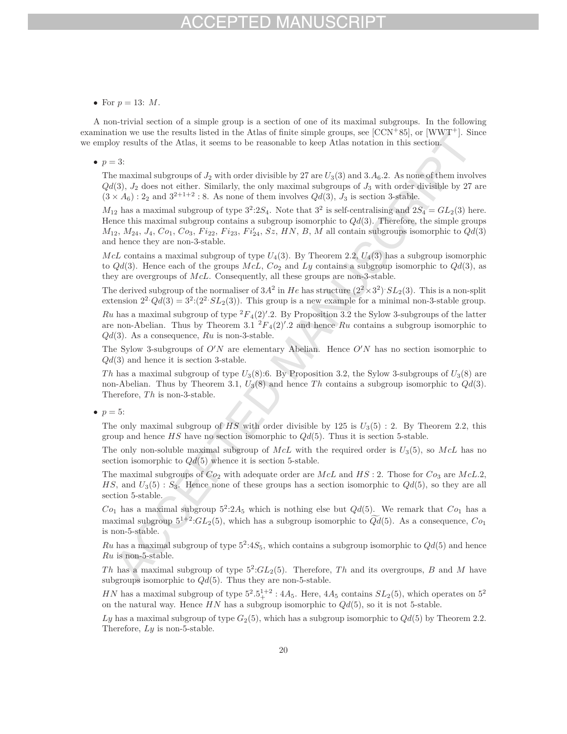## FD MA

• For  $p = 13: M$ .

A non-trivial section of a simple group is a section of one of its maximal subgroups. In the following examination we use the results listed in the Atlas of finite simple groups, see [CCN<sup>+</sup>85], or [WWT<sup>+</sup>]. Since we employ results of the Atlas, it seems to be reasonable to keep Atlas notation in this section.

### •  $p = 3$ :

The maximal subgroups of  $J_2$  with order divisible by 27 are  $U_3(3)$  and  $3.A_6.2$ . As none of them involves  $Qd(3)$ ,  $J_2$  does not either. Similarly, the only maximal subgroups of  $J_3$  with order divisible by 27 are  $(3 \times A_6): 2_2$  and  $3^{2+1+2}: 8$ . As none of them involves  $Qd(3), J_3$  is section 3-stable.

 $M_{12}$  has a maximal subgroup of type  $3^2:2S_4$ . Note that  $3^2$  is self-centralising and  $2S_4 = GL_2(3)$  here. Hence this maximal subgroup contains a subgroup isomorphic to *Qd*(3). Therefore, the simple groups  $M_{12}$ ,  $M_{24}$ ,  $J_4$ ,  $Co_1$ ,  $Co_3$ ,  $Fi_{22}$ ,  $Fi_{23}$ ,  $Fi'_{24}$ ,  $Sz$ ,  $HN$ ,  $B$ ,  $M$  all contain subgroups isomorphic to  $Qd(3)$ and hence they are non-3-stable.

 $McL$  contains a maximal subgroup of type  $U_4(3)$ . By Theorem 2.2,  $U_4(3)$  has a subgroup isomorphic to  $Qd(3)$ . Hence each of the groups  $McL$ ,  $Co_2$  and  $Ly$  contains a subgroup isomorphic to  $Qd(3)$ , as they are overgroups of *McL*. Consequently, all these groups are non-3-stable.

The derived subgroup of the normaliser of  $3A^2$  in *He* has structure  $(2^2 \times 3^2)$ *. SL*<sub>2</sub>(3). This is a non-split extension  $2^2 \cdot Qd(3) = 3^2 \cdot (2^2 \cdot SL_2(3))$ . This group is a new example for a minimal non-3-stable group.

Ru has a maximal subgroup of type  ${}^2F_4(2)$ . By Proposition 3.2 the Sylow 3-subgroups of the latter are non-Abelian. Thus by Theorem 3.1  ${}^{2}F_{4}(2)$ '.2 and hence *Ru* contains a subgroup isomorphic to *Qd*(3). As a consequence, *Ru* is non-3-stable.

The Sylow 3-subgroups of  $O'N$  are elementary Abelian. Hence  $O'N$  has no section isomorphic to *Qd*(3) and hence it is section 3-stable.

*Th* has a maximal subgroup of type *U*3(8):6. By Proposition 3.2, the Sylow 3-subgroups of *U*3(8) are non-Abelian. Thus by Theorem 3.1, *U*3(8) and hence *Th* contains a subgroup isomorphic to *Qd*(3). Therefore, *Th* is non-3-stable.

•  $p = 5$ :

The only maximal subgroup of  $HS$  with order divisible by 125 is  $U_3(5)$ : 2. By Theorem 2.2, this group and hence *HS* have no section isomorphic to *Qd*(5). Thus it is section 5-stable.

The only non-soluble maximal subgroup of *McL* with the required order is *U*3(5), so *McL* has no section isomorphic to *Qd*(5) whence it is section 5-stable.

The maximal subgroups of *Co*<sup>2</sup> with adequate order are *McL* and *HS* : 2. Those for *Co*<sup>3</sup> are *McL.*2,  $HS$ , and  $U_3(5)$ :  $S_3$ . Hence none of these groups has a section isomorphic to  $Qd(5)$ , so they are all section 5-stable.

 $Co<sub>1</sub>$  has a maximal subgroup  $5^2:2A_5$  which is nothing else but  $Qd(5)$ . We remark that  $Co<sub>1</sub>$  has a maximal subgroup  $5^{1+2}$ : $GL_2(5)$ , which has a subgroup isomorphic to  $Qd(5)$ . As a consequence,  $Co_1$ is non-5-stable.

*Ru* has a maximal subgroup of type  $5^2:4S_5$ , which contains a subgroup isomorphic to  $Qd(5)$  and hence *Ru* is non-5-stable.

The has a maximal subgroup of type  $5^2:GL_2(5)$ . Therefore, *Th* and its overgroups, *B* and *M* have subgroups isomorphic to *Qd*(5). Thus they are non-5-stable.

*HN* has a maximal subgroup of type  $5^2 \cdot 5^{1+2}$  :  $4A_5$ . Here,  $4A_5$  contains  $SL_2(5)$ , which operates on  $5^2$ on the natural way. Hence  $HN$  has a subgroup isomorphic to  $Qd(5)$ , so it is not 5-stable.

*Ly* has a maximal subgroup of type *G*2(5), which has a subgroup isomorphic to *Qd*(5) by Theorem 2.2. Therefore, *Ly* is non-5-stable.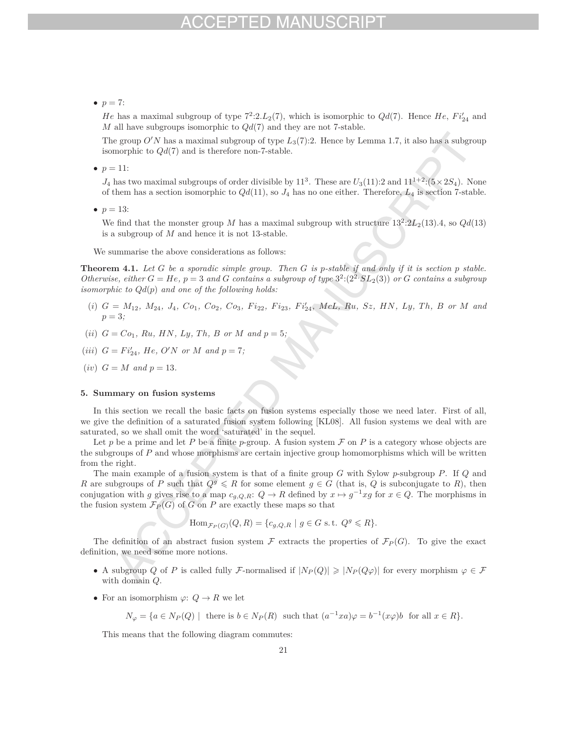### •  $p = 7$ :

*He* has a maximal subgroup of type  $7^2:2.L_2(7)$ , which is isomorphic to  $Qd(7)$ . Hence *He*,  $Fi'_{24}$  and *M* all have subgroups isomorphic to *Qd*(7) and they are not 7-stable.

The group  $O'N$  has a maximal subgroup of type  $L_3(7)$ :2. Hence by Lemma 1.7, it also has a subgroup isomorphic to *Qd*(7) and is therefore non-7-stable.

•  $p = 11$ :

 $J_4$  has two maximal subgroups of order divisible by  $11^3$ . These are  $U_3(11):2$  and  $11^{1+2}:(5\times2S_4)$ . None of them has a section isomorphic to *Qd*(11), so *J*<sup>4</sup> has no one either. Therefore, *L*<sup>4</sup> is section 7-stable.

•  $p = 13$ :

We find that the monster group *M* has a maximal subgroup with structure  $13^{2}:2L_{2}(13).4$ , so  $Qd(13)$ is a subgroup of *M* and hence it is not 13-stable.

We summarise the above considerations as follows:

**Theorem 4.1.** *Let G be a sporadic simple group. Then G is p-stable if and only if it is section p stable. Otherwise, either*  $G = He$ ,  $p = 3$  *and*  $G$  *contains a subgroup of type*  $3^2:(2^2 \cdot SL_2(3))$  *or*  $G$  *contains a subgroup isomorphic to Qd*(*p*) *and one of the following holds:*

- (i)  $G = M_{12}$ ,  $M_{24}$ ,  $J_4$ ,  $Co_1$ ,  $Co_2$ ,  $Co_3$ ,  $Fi_{22}$ ,  $Fi_{23}$ ,  $Fi'_{24}$ ,  $McL$ ,  $Ru$ ,  $Sz$ ,  $HN$ ,  $Ly$ ,  $Th$ ,  $B$  or  $M$  and *p* = 3*;*
- $(iii)$   $G = Co_1$ *, Ru, HN, Ly, Th, B or M and*  $p = 5$ ;
- $(iii)$   $G = Fi'_{24}$ ,  $He, O'N$  or  $M$  and  $p = 7$ ;
- $(iv)$   $G = M$  *and*  $p = 13$ *.*

### **5. Summary on fusion systems**

In this section we recall the basic facts on fusion systems especially those we need later. First of all, we give the definition of a saturated fusion system following [KL08]. All fusion systems we deal with are saturated, so we shall omit the word 'saturated' in the sequel.

Let p be a prime and let P be a finite p-group. A fusion system  $\mathcal F$  on P is a category whose objects are the subgroups of *P* and whose morphisms are certain injective group homomorphisms which will be written from the right.

The main example of a fusion system is that of a finite group *G* with Sylow *p*-subgroup *P*. If *Q* and *R* are subgroups of *P* such that  $Q^g \le R$  for some element  $g \in G$  (that is,  $Q$  is subconjugate to *R*), then conjugation with *g* gives rise to a map  $c_{g,Q,R}$ :  $Q \to R$  defined by  $x \mapsto g^{-1}xg$  for  $x \in Q$ . The morphisms in the fusion system  $\mathcal{F}_P(G)$  of *G* on *P* are exactly these maps so that

 $\text{Hom}_{\mathcal{F}_P(G)}(Q, R) = \{c_{g,Q,R} \mid g \in G \text{ s.t. } Q^g \leq R\}.$ 

The definition of an abstract fusion system  $\mathcal F$  extracts the properties of  $\mathcal F_P(G)$ . To give the exact definition, we need some more notions.

- A subgroup *Q* of *P* is called fully *F*-normalised if  $|N_P(Q)| \geq |N_P(Q\varphi)|$  for every morphism  $\varphi \in \mathcal{F}$ with domain *Q*.
- For an isomorphism  $\varphi: Q \to R$  we let

$$
N_{\varphi} = \{ a \in N_P(Q) \mid \text{ there is } b \in N_P(R) \text{ such that } (a^{-1}xa)\varphi = b^{-1}(x\varphi)b \text{ for all } x \in R \}.
$$

This means that the following diagram commutes: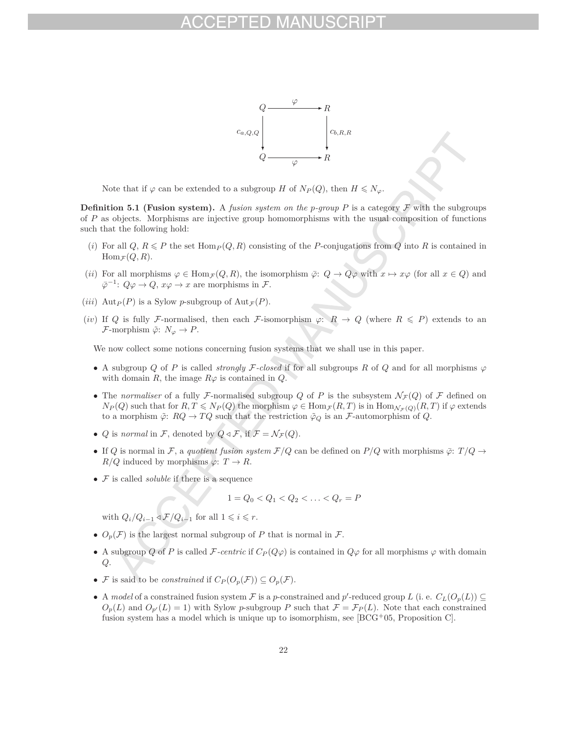

Note that if  $\varphi$  can be extended to a subgroup *H* of  $N_P(Q)$ , then  $H \le N_\varphi$ .

**Definition 5.1 (Fusion system).** A *fusion system on the p*-group P is a category  $\mathcal F$  with the subgroups of *P* as objects. Morphisms are injective group homomorphisms with the usual composition of functions such that the following hold:

- (*i*) For all  $Q, R \leq P$  the set Hom $P(Q, R)$  consisting of the *P*-conjugations from  $Q$  into  $R$  is contained in  $\text{Hom}_{\mathcal{F}}(Q, R)$ .
- (*ii*) For all morphisms  $\varphi \in \text{Hom}_{\mathcal{F}}(Q, R)$ , the isomorphism  $\overline{\varphi}$ :  $Q \to Q\varphi$  with  $x \mapsto x\varphi$  (for all  $x \in Q$ ) and  $\overline{\varphi^{-1}}$ .  $Q\varphi \to Q$  *x*<sub>i</sub> $\alpha \to 0$  *x*<sub>i</sub> $\alpha \to \infty$  *x* are morphisms in *F*.  $\bar{\varphi}^{-1}$ *:*  $Q\varphi$  *→*  $Q$ *,*  $x\varphi$  *→ <i>x* are morphisms in  $\mathcal{F}$ .
- (*iii*)  $\text{Aut}_P(P)$  is a Sylow *p*-subgroup of  $\text{Aut}_{\mathcal{F}}(P)$ .
- (*iv*) If Q is fully F-normalised, then each F-isomorphism  $\varphi: R \to Q$  (where  $R \leq P$ ) extends to an *F*-morphism  $\tilde{\varphi}$ :  $N_{\varphi} \to P$ .

We now collect some notions concerning fusion systems that we shall use in this paper.

- A subgroup *Q* of *P* is called *strongly* F-closed if for all subgroups *R* of *Q* and for all morphisms  $\varphi$ with domain *R*, the image  $R\varphi$  is contained in *Q*.
- The *normaliser* of a fully F-normalised subgroup Q of P is the subsystem  $\mathcal{N}_{\mathcal{F}}(Q)$  of F defined on  $N_P(Q)$  such that for  $R, T \le N_P(Q)$  the morphism  $\varphi \in \text{Hom}_{\mathcal{F}}(R, T)$  is in  $\text{Hom}_{\mathcal{N}_{\mathcal{F}}(Q)}(R, T)$  if  $\varphi$  extends to a morphism  $\tilde{\varphi}$ :  $RQ \to TQ$  such that the restriction  $\tilde{\varphi}_Q$  is an *F*-automorphism of *Q*.
- *Q* is *normal* in  $\mathcal{F}$ , denoted by  $Q \triangleleft \mathcal{F}$ , if  $\mathcal{F} = \mathcal{N}_{\mathcal{F}}(Q)$ .
- If *Q* is normal in F, a *quotient fusion system*  $F/Q$  can be defined on  $P/Q$  with morphisms  $\bar{\varphi}$ :  $T/Q \rightarrow$  $R/Q$  induced by morphisms  $\varphi: T \to R$ .
- F is called *soluble* if there is a sequence

$$
1 = Q_0 < Q_1 < Q_2 < \ldots < Q_r = P
$$

with  $Q_i/Q_{i-1} \triangleleft \mathcal{F}/Q_{i-1}$  for all  $1 \leq i \leq r$ .

- $O_p(\mathcal{F})$  is the largest normal subgroup of *P* that is normal in  $\mathcal{F}$ .
- A subgroup *Q* of *P* is called *F-centric* if  $C_P(Q\varphi)$  is contained in  $Q\varphi$  for all morphisms  $\varphi$  with domain *Q*.
- *F* is said to be *constrained* if  $C_P(O_p(\mathcal{F})) \subseteq O_p(\mathcal{F})$ .
- A *model* of a constrained fusion system  $\mathcal F$  is a *p*-constrained and *p*'-reduced group *L* (i. e.  $C_L(O_p(L)) \subseteq$  $O_p(L)$  and  $O_{p'}(L) = 1$ ) with Sylow *p*-subgroup *P* such that  $\mathcal{F} = \mathcal{F}_P(L)$ . Note that each constrained fusion system has a model which is unique up to isomorphism, see  $[BCG+05,$  Proposition C.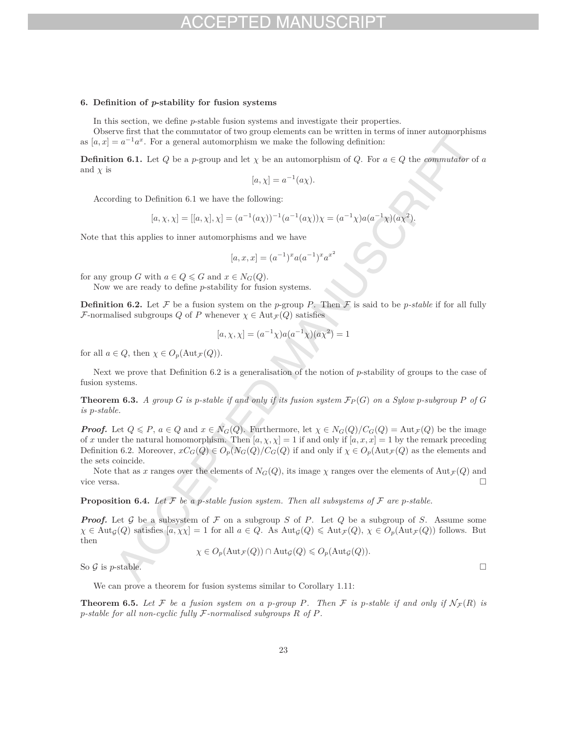### **6. Definition of** *p***-stability for fusion systems**

In this section, we define *p*-stable fusion systems and investigate their properties.

Observe first that the commutator of two group elements can be written in terms of inner automorphisms as  $[a, x] = a^{-1}a^x$ . For a general automorphism we make the following definition:

**Definition 6.1.** Let *Q* be a *p*-group and let *χ* be an automorphism of *Q*. For  $a \in Q$  the *commutator* of *a* and  $\chi$  is

$$
[a, \chi] = a^{-1}(a\chi).
$$

According to Definition 6.1 we have the following:

$$
[a, \chi, \chi] = [[a, \chi], \chi] = (a^{-1}(a\chi))^{-1}(a^{-1}(a\chi))\chi = (a^{-1}\chi)a(a^{-1}\chi)(a\chi^2).
$$

Note that this applies to inner automorphisms and we have

$$
[a, x, x] = (a^{-1})^x a (a^{-1})^x a^{x^2}
$$

for any group *G* with  $a \in Q \le G$  and  $x \in N_G(Q)$ .

Now we are ready to define *p*-stability for fusion systems.

**Definition 6.2.** Let  $\mathcal F$  be a fusion system on the *p*-group *P*. Then  $\mathcal F$  is said to be *p*-stable if for all fully *F*-normalised subgroups *Q* of *P* whenever  $\chi \in \text{Aut}_{\mathcal{F}}(Q)$  satisfies

$$
[a, \chi, \chi] = (a^{-1}\chi)a(a^{-1}\chi)(a\chi^2) = 1
$$

for all  $a \in Q$ , then  $\chi \in O_p(\text{Aut}_{\mathcal{F}}(Q)).$ 

Next we prove that Definition 6.2 is a generalisation of the notion of *p*-stability of groups to the case of fusion systems.

**Theorem 6.3.** A group G is p-stable if and only if its fusion system  $\mathcal{F}_P(G)$  on a Sylow p-subgroup P of G *is p-stable.*

*Proof.* Let  $Q \leq P$ ,  $a \in Q$  and  $x \in N_G(Q)$ . Furthermore, let  $\chi \in N_G(Q)/C_G(Q) = \text{Aut}_{\mathcal{F}}(Q)$  be the image of x under the natural homomorphism. Then  $[a, \chi, \chi] = 1$  if and only if  $[a, x, x] = 1$  by the remark preceding Definition 6.2. Moreover,  $xC_G(Q) \in O_p(N_G(Q)/C_G(Q)$  if and only if  $\chi \in O_p(\text{Aut}_{\mathcal{F}}(Q))$  as the elements and the sets coincide.

Note that as *x* ranges over the elements of  $N_G(Q)$ , its image  $\chi$  ranges over the elements of  $\text{Aut}_{\mathcal{F}}(Q)$  and vice versa. vice versa.

**Proposition 6.4.** Let  $\mathcal F$  be a *p*-stable fusion system. Then all subsystems of  $\mathcal F$  are *p*-stable.

*Proof.* Let G be a subsystem of F on a subgroup S of P. Let Q be a subgroup of S. Assume some  $\chi \in \text{Aut}_{\mathcal{G}}(Q)$  satisfies  $[a, \chi \chi] = 1$  for all  $a \in Q$ . As  $\text{Aut}_{\mathcal{G}}(Q) \leq \text{Aut}_{\mathcal{F}}(Q), \chi \in O_p(\text{Aut}_{\mathcal{F}}(Q))$  follows. But then

 $\chi \in O_p(\text{Aut}_{\mathcal{F}}(Q)) \cap \text{Aut}_{\mathcal{G}}(Q) \leqslant O_p(\text{Aut}_{\mathcal{G}}(Q)).$ 

So  $\mathcal G$  is *p*-stable.

We can prove a theorem for fusion systems similar to Corollary 1.11:

**Theorem 6.5.** Let F be a fusion system on a p-group P. Then F is p-stable if and only if  $N_{\mathcal{F}}(R)$  is *p-stable for all non-cyclic fully* F*-normalised subgroups R of P.*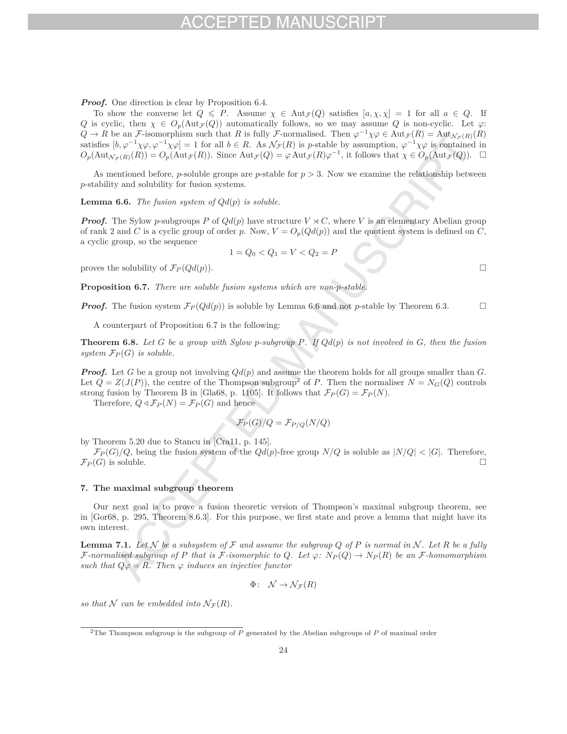*Proof.* One direction is clear by Proposition 6.4.

To show the converse let  $Q \leq P$ . Assume  $\chi \in \text{Aut}_{\mathcal{F}}(Q)$  satisfies  $[a, \chi, \chi] = 1$  for all  $a \in Q$ . If *Q* is cyclic, then  $\chi \in O_p(\text{Aut}_{\mathcal{F}}(Q))$  automatically follows, so we may assume *Q* is non-cyclic. Let  $\varphi$ :  $Q \to R$  be an F-isomorphism such that *R* is fully F-normalised. Then  $\varphi^{-1}\chi\varphi \in \text{Aut}_{\mathcal{F}}(R) = \text{Aut}_{\mathcal{N}_{\mathcal{F}}(R)}(R)$ satisfies  $[b, \varphi^{-1}\chi\varphi, \varphi^{-1}\chi\varphi] = 1$  for all  $b \in R$ . As  $\mathcal{N}_{\mathcal{F}}(R)$  is *p*-stable by assumption,  $\varphi^{-1}\chi\varphi$  is contained in  $O_p(\text{Aut}_{\mathcal{N}_{\mathcal{F}}(R)}(R)) = O_p(\text{Aut}_{\mathcal{F}}(R))$ . Since  $\text{Aut}_{\mathcal{F}}(Q) = \varphi \text{Aut}_{\mathcal{F}}(R)\varphi^{-1}$ , it follows that  $\chi \in O_p(\text{Aut}_{\mathcal{F}}(Q))$ .  $\Box$ 

As mentioned before, *p*-soluble groups are *p*-stable for  $p > 3$ . Now we examine the relationship between *p*-stability and solubility for fusion systems.

**Lemma 6.6.** *The fusion system of Qd*(*p*) *is soluble.*

*Proof.* The Sylow *p*-subgroups *P* of  $Qd(p)$  have structure  $V \rtimes C$ , where *V* is an elementary Abelian group of rank 2 and *C* is a cyclic group of order *p*. Now,  $V = O_p(Qd(p))$  and the quotient system is defined on *C*, a cyclic group, so the sequence

$$
1 = Q_0 < Q_1 = V < Q_2 = F
$$

proves the solubility of  $\mathcal{F}_P(Qd(p)).$ 

**Proposition 6.7.** *There are soluble fusion systems which are non-p-stable.*

*Proof.* The fusion system  $\mathcal{F}_P(Qd(p))$  is soluble by Lemma 6.6 and not *p*-stable by Theorem 6.3.

A counterpart of Proposition 6.7 is the following:

**Theorem 6.8.** Let  $G$  be a group with Sylow p-subgroup  $P$ . If  $Qd(p)$  is not involved in  $G$ , then the fusion *system*  $\mathcal{F}_P(G)$  *is soluble.* 

*Proof.* Let *G* be a group not involving *Qd*(*p*) and assume the theorem holds for all groups smaller than *G*. Let  $Q = Z(J(P))$ , the centre of the Thompson subgroup<sup>2</sup> of *P*. Then the normaliser  $N = N_G(Q)$  controls strong fusion by Theorem B in [Gla68, p. 1105]. It follows that  $\mathcal{F}_P(G) = \mathcal{F}_P(N)$ .

Therefore,  $Q \triangleleft \mathcal{F}_P(N) = \mathcal{F}_P(G)$  and hence

$$
\mathcal{F}_P(G)/Q = \mathcal{F}_{P/Q}(N/Q)
$$

by Theorem 5.20 due to Stancu in [Cra11, p. 145].

 $\mathcal{F}_P(G)/Q$ , being the fusion system of the  $Qd(p)$ -free group  $N/Q$  is soluble as  $|N/Q| < |G|$ . Therefore,  $(G)$  is soluble  $\mathcal{F}_P(G)$  is soluble.

### **7. The maximal subgroup theorem**

Our next goal is to prove a fusion theoretic version of Thompson's maximal subgroup theorem, see in [Gor68, p. 295, Theorem 8.6.3]. For this purpose, we first state and prove a lemma that might have its own interest.

**Lemma 7.1.** Let  $N$  be a subsystem of  $\mathcal F$  and assume the subgroup  $Q$  of  $P$  is normal in  $N$ . Let  $R$  be a fully F-normalised subgroup of P that is F-isomorphic to Q. Let  $\varphi: N_P(Q) \to N_P(R)$  be an F-homomorphism *such that*  $Q\varphi = R$ *. Then*  $\varphi$  *induces an injective functor* 

$$
\Phi\colon\ \mathcal{N}\to\mathcal{N}_{\mathcal{F}}(R)
$$

*so that* N *can be embedded into*  $N_{\mathcal{F}}(R)$ *.* 

<sup>2</sup>The Thompson subgroup is the subgroup of *P* generated by the Abelian subgroups of *P* of maximal order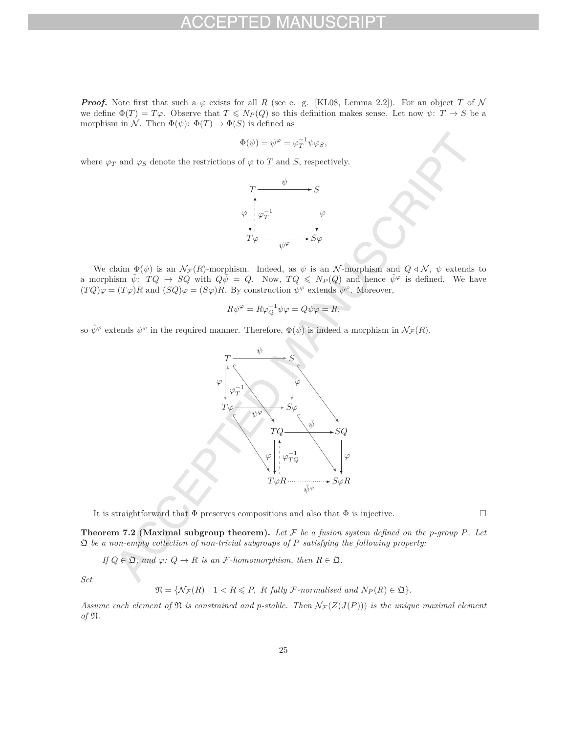*Proof.* Note first that such a  $\varphi$  exists for all *R* (see e. g. [KL08, Lemma 2.2]). For an object *T* of N we define  $\Phi(T) = T\varphi$ . Observe that  $T \leqslant N_P(Q)$  so this definition makes sense. Let now  $\psi: T \to S$  be a morphism in N. Then  $\Phi(\psi)$ :  $\Phi(T) \to \Phi(S)$  is defined as

$$
\Phi(\psi) = \psi^{\varphi} = \varphi_T^{-1} \psi \varphi_S,
$$

where  $\varphi_T$  and  $\varphi_S$  denote the restrictions of  $\varphi$  to *T* and *S*, respectively.



We claim  $\Phi(\psi)$  is an  $\mathcal{N}_{\mathcal{F}}(R)$ -morphism. Indeed, as  $\psi$  is an  $\mathcal{N}$ -morphism and  $Q \triangleleft \mathcal{N}$ ,  $\psi$  extends to a morphism  $\tilde{\psi}$ :  $TQ \rightarrow SQ$  with  $Q\tilde{\psi} = Q$ . Now,  $TQ \le N_P(Q)$  and hence  $\tilde{\psi}^{\varphi}$  is defined. We have  $(TQ)\varphi = (T\varphi)R$  and  $(SQ)\varphi = (S\varphi)R$ . By construction  $\tilde{\psi}^{\varphi}$  extends  $\psi^{\varphi}$ . Moreover,

$$
R\psi^{\varphi} = R\varphi_Q^{-1}\psi\varphi = Q\psi\varphi = R,
$$

so  $\tilde{\psi}^{\varphi}$  extends  $\psi^{\varphi}$  in the required manner. Therefore,  $\Phi(\psi)$  is indeed a morphism in  $\mathcal{N}_{\mathcal{F}}(R)$ .



It is straightforward that  $\Phi$  preserves compositions and also that  $\Phi$  is injective.

**Theorem 7.2 (Maximal subgroup theorem).** Let  $\mathcal F$  be a fusion system defined on the p-group P. Let Q *be a non-empty collection of non-trivial subgroups of P satisfying the following property:*

*If*  $Q \in \mathfrak{Q}$ , and  $\varphi: Q \to R$  *is an F*-homomorphism, then  $R \in \mathfrak{Q}$ .

*Set*

 $\mathfrak{N} = \{ \mathcal{N}_{\mathcal{F}}(R) \mid 1 \leq R \leq P, R \text{ fully } \mathcal{F}\text{-normalised and } N_P(R) \in \mathfrak{Q} \}.$ 

Assume each element of  $\mathfrak{N}$  *is constrained and p-stable. Then*  $\mathcal{N}_{\mathcal{F}}(Z(J(P)))$  *is the unique maximal element of* N*.*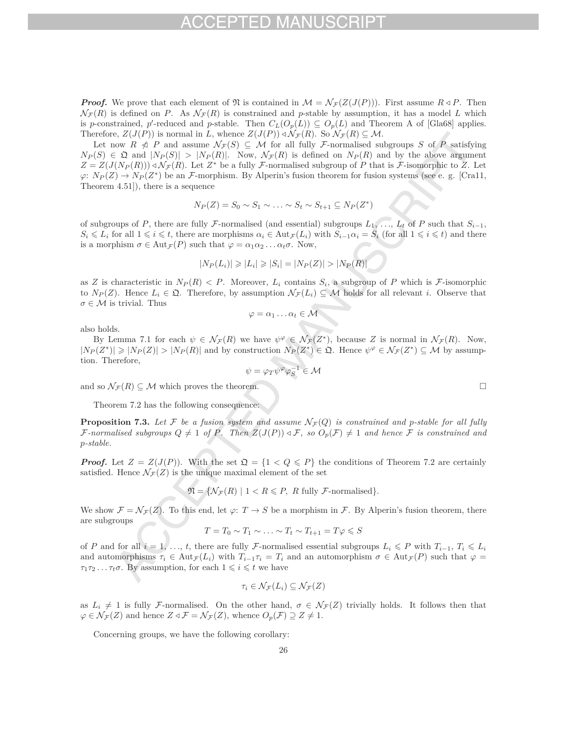*Proof.* We prove that each element of  $\mathfrak{N}$  is contained in  $\mathcal{M} = \mathcal{N}_{\mathcal{F}}(Z(J(P)))$ . First assume  $R \triangleleft P$ . Then  $\mathcal{N}_{\mathcal{F}}(R)$  is defined on *P*. As  $\mathcal{N}_{\mathcal{F}}(R)$  is constrained and *p*-stable by assumption, it has a model *L* which is *p*-constrained, *p*'-reduced and *p*-stable. Then  $C_L(O_p(L)) \subseteq O_p(L)$  and Theorem A of [Gla68] applies. Therefore,  $Z(J(P))$  is normal in *L*, whence  $Z(J(P)) \triangleleft \mathcal{N}_{\mathcal{F}}(R)$ . So  $\mathcal{N}_{\mathcal{F}}(R) \subseteq \mathcal{M}$ .

Let now  $R \notin P$  and assume  $\mathcal{N}_{\mathcal{F}}(S) \subseteq \mathcal{M}$  for all fully F-normalised subgroups *S* of P satisfying  $N_P(S) \in \mathfrak{Q}$  and  $|N_P(S)| > |N_P(R)|$ . Now,  $\mathcal{N}_{\mathcal{F}}(R)$  is defined on  $N_P(R)$  and by the above argument  $Z = Z(J(N_P(R))) \triangleleft \mathcal{N}_{\mathcal{F}}(R)$ . Let  $Z^*$  be a fully *F*-normalised subgroup of *P* that is *F*-isomorphic to *Z*. Let  $\varphi: N_P(Z) \to N_P(Z^*)$  be an F-morphism. By Alperin's fusion theorem for fusion systems (see e. g. [Cra11, Theorem 4.51]), there is a sequence

$$
N_P(Z) = S_0 \sim S_1 \sim \ldots \sim S_t \sim S_{t+1} \subseteq N_P(Z^*)
$$

of subgroups of *P*, there are fully *F*-normalised (and essential) subgroups  $L_1, \ldots, L_t$  of *P* such that  $S_{i-1}$ ,  $S_i \leq L_i$  for all  $1 \leq i \leq t$ , there are morphisms  $\alpha_i \in \text{Aut}_{\mathcal{F}}(L_i)$  with  $S_{i-1}\alpha_i = S_i$  (for all  $1 \leq i \leq t$ ) and there is a morphism  $\sigma \in \text{Aut}_{\mathcal{F}}(P)$  such that  $\varphi = \alpha_1 \alpha_2 \dots \alpha_t \sigma$ . Now,

$$
|N_P(L_i)| \geq |L_i| \geq |S_i| = |N_P(Z)| > |N_P(R)|
$$

as *Z* is characteristic in  $N_P(R) < P$ . Moreover,  $L_i$  contains  $S_i$ , a subgroup of *P* which is *F*-isomorphic to  $N_P(Z)$ . Hence  $L_i \in \mathfrak{Q}$ . Therefore, by assumption  $\mathcal{N}_{\mathcal{F}}(L_i) \subseteq \mathcal{M}$  holds for all relevant *i*. Observe that  $\sigma \in \mathcal{M}$  is trivial. Thus

$$
\varphi=\alpha_1\ldots\alpha_t\in\mathcal{M}
$$

also holds.

By Lemma 7.1 for each  $\psi \in \mathcal{N}_{\mathcal{F}}(R)$  we have  $\psi^{\varphi} \in \mathcal{N}_{\mathcal{F}}(Z^*)$ , because Z is normal in  $\mathcal{N}_{\mathcal{F}}(R)$ . Now,  $|N_P(Z^*)| \geq |N_P(Z)| > |N_P(R)|$  and by construction  $N_P(Z^*) \in \mathfrak{Q}$ . Hence  $\psi^{\varphi} \in \mathcal{N}_{\mathcal{F}}(Z^*) \subseteq \mathcal{M}$  by assumption. Therefore,

$$
\psi = \varphi_T \psi^\varphi \varphi_S^{-1} \in \mathcal{M}
$$

and so  $\mathcal{N}_{\mathcal{F}}(R) \subseteq \mathcal{M}$  which proves the theorem.

Theorem 7.2 has the following consequence:

**Proposition 7.3.** Let F be a fusion system and assume  $N_F(Q)$  is constrained and p-stable for all fully  $\mathcal{F}\text{-}normalised subgroups Q \neq 1 \text{ of } P$ *. Then*  $Z(J(P)) \triangleleft \mathcal{F}$ *, so*  $O_p(\mathcal{F}) \neq 1$  and hence  $\mathcal F$  is constrained and *p-stable.*

*Proof.* Let  $Z = Z(J(P))$ . With the set  $\mathfrak{Q} = \{1 \leq Q \leq P\}$  the conditions of Theorem 7.2 are certainly satisfied. Hence  $\mathcal{N}_{\mathcal{F}}(Z)$  is the unique maximal element of the set

 $\mathfrak{N} = \{ \mathcal{N}_{\mathcal{F}}(R) \mid 1 \leq R \leq P, R \text{ fully } \mathcal{F}\text{-normalised} \}.$ 

We show  $\mathcal{F} = \mathcal{N}_{\mathcal{F}}(Z)$ . To this end, let  $\varphi: T \to S$  be a morphism in F. By Alperin's fusion theorem, there are subgroups

$$
T = T_0 \sim T_1 \sim \ldots \sim T_t \sim T_{t+1} = T\varphi \leqslant S
$$

of *P* and for all  $i = 1, \ldots, t$ , there are fully *F*-normalised essential subgroups  $L_i \leq P$  with  $T_{i-1}, T_i \leq L_i$ and automorphisms  $\tau_i \in Aut_{\mathcal{F}}(L_i)$  with  $T_{i-1}\tau_i = T_i$  and an automorphism  $\sigma \in Aut_{\mathcal{F}}(P)$  such that  $\varphi =$  $\tau_1 \tau_2 \dots \tau_t \sigma$ . By assumption, for each  $1 \leq i \leq t$  we have

$$
\tau_i \in \mathcal{N}_{\mathcal{F}}(L_i) \subseteq \mathcal{N}_{\mathcal{F}}(Z)
$$

as  $L_i \neq 1$  is fully F-normalised. On the other hand,  $\sigma \in \mathcal{N}_{\mathcal{F}}(Z)$  trivially holds. It follows then that  $\varphi \in \mathcal{N}_{\mathcal{F}}(Z)$  and hence  $Z \triangleleft \mathcal{F} = \mathcal{N}_{\mathcal{F}}(Z)$ , whence  $O_p(\mathcal{F}) \supseteq Z \neq 1$ .

Concerning groups, we have the following corollary: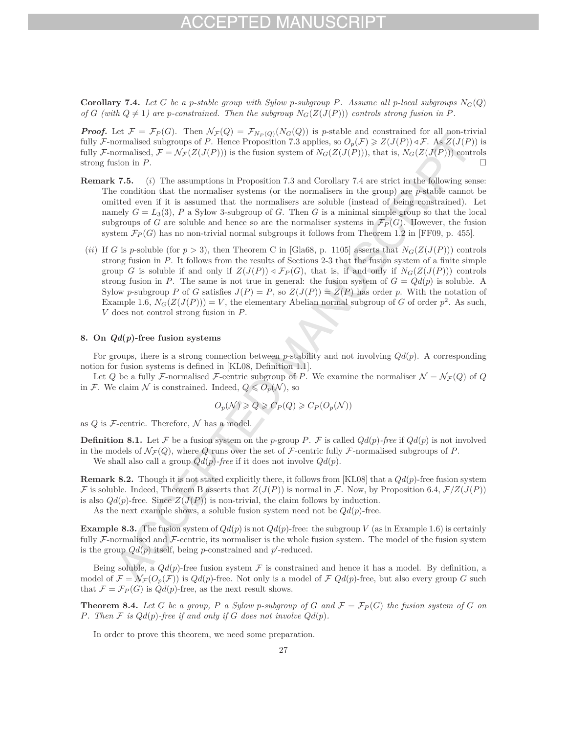## $-1$ )

**Corollary 7.4.** Let *G* be a *p*-stable group with Sylow *p*-subgroup *P*. Assume all *p*-local subgroups  $N_G(Q)$ *of G* (with  $Q \neq 1$ ) are *p*-constrained. Then the subgroup  $N_G(Z(J(P)))$  controls strong fusion in *P*.

*Proof.* Let  $\mathcal{F} = \mathcal{F}_P(G)$ . Then  $\mathcal{N}_{\mathcal{F}}(Q) = \mathcal{F}_{N_P(Q)}(N_G(Q))$  is *p*-stable and constrained for all non-trivial fully F-normalised subgroups of *P*. Hence Proposition 7.3 applies, so  $O_p(\mathcal{F}) \geq Z(J(P)) \triangleleft \mathcal{F}$ . As  $Z(J(P))$  is fully F-normalised,  $\mathcal{F} = \mathcal{N}_{\mathcal{F}}(Z(J(P)))$  is the fusion system of  $N_G(Z(J(P)))$ , that is,  $N_G(Z(J(P)))$  controls strong fusion in P. strong fusion in *P*.

- **Remark 7.5.** (*i*) The assumptions in Proposition 7.3 and Corollary 7.4 are strict in the following sense: The condition that the normaliser systems (or the normalisers in the group) are *p*-stable cannot be omitted even if it is assumed that the normalisers are soluble (instead of being constrained). Let namely  $G = L_3(3)$ , *P* a Sylow 3-subgroup of *G*. Then *G* is a minimal simple group so that the local subgroups of *G* are soluble and hence so are the normaliser systems in  $\mathcal{F}_P(G)$ . However, the fusion system  $\mathcal{F}_P(G)$  has no non-trivial normal subgroups it follows from Theorem 1.2 in [FF09, p. 455].
- (*ii*) If *G* is *p*-soluble (for  $p > 3$ ), then Theorem C in [Gla68, p. 1105] asserts that  $N_G(Z(J(P)))$  controls strong fusion in *P*. It follows from the results of Sections 2-3 that the fusion system of a finite simple group *G* is soluble if and only if  $Z(J(P)) \triangleleft \mathcal{F}_P(G)$ , that is, if and only if  $N_G(Z(J(P)))$  controls strong fusion in *P*. The same is not true in general: the fusion system of  $G = Qd(p)$  is soluble. A Sylow *p*-subgroup *P* of *G* satisfies  $J(P) = P$ , so  $Z(J(P)) = Z(P)$  has order *p*. With the notation of Example 1.6,  $N_G(Z(J(P))) = V$ , the elementary Abelian normal subgroup of *G* of order  $p^2$ . As such, *V* does not control strong fusion in *P*.

## **8. On** *Qd***(***p***)-free fusion systems**

For groups, there is a strong connection between *p*-stability and not involving *Qd*(*p*). A corresponding notion for fusion systems is defined in [KL08, Definition 1.1].

Let *Q* be a fully *F*-normalised *F*-centric subgroup of *P*. We examine the normaliser  $\mathcal{N} = \mathcal{N}_{\mathcal{F}}(Q)$  of *Q* in F. We claim  $\mathcal N$  is constrained. Indeed,  $Q \leqslant O_p(\mathcal N)$ , so

$$
O_p(\mathcal{N}) \geqslant Q \geqslant C_P(Q) \geqslant C_P(O_p(\mathcal{N}))
$$

as  $Q$  is  $\mathcal F$ -centric. Therefore,  $\mathcal N$  has a model.

**Definition 8.1.** Let F be a fusion system on the p-group P. F is called  $Qd(p)$ -free if  $Qd(p)$  is not involved in the models of  $\mathcal{N}_{\mathcal{F}}(Q)$ , where *Q* runs over the set of *F*-centric fully *F*-normalised subgroups of *P*.

We shall also call a group *Qd*(*p*)*-free* if it does not involve *Qd*(*p*).

**Remark 8.2.** Though it is not stated explicitly there, it follows from [KL08] that a *Qd*(*p*)-free fusion system F is soluble. Indeed, Theorem B asserts that  $Z(J(P))$  is normal in F. Now, by Proposition 6.4,  $\mathcal{F}/Z(J(P))$ is also  $Qd(p)$ -free. Since  $Z(J(P))$  is non-trivial, the claim follows by induction.

As the next example shows, a soluble fusion system need not be  $Qd(p)$ -free.

**Example 8.3.** The fusion system of  $Qd(p)$  is not  $Qd(p)$ -free: the subgroup *V* (as in Example 1.6) is certainly fully  $\mathcal F$ -normalised and  $\mathcal F$ -centric, its normaliser is the whole fusion system. The model of the fusion system is the group  $Qd(p)$  itself, being *p*-constrained and *p*'-reduced.

Being soluble, a  $Qd(p)$ -free fusion system  $\mathcal F$  is constrained and hence it has a model. By definition, a model of  $\mathcal{F} = \mathcal{N}_{\mathcal{F}}(O_p(\mathcal{F}))$  is  $Qd(p)$ -free. Not only is a model of  $\mathcal{F} Qd(p)$ -free, but also every group G such that  $\mathcal{F} = \mathcal{F}_P(G)$  is  $Qd(p)$ -free, as the next result shows.

**Theorem 8.4.** Let G be a group, P a Sylow p-subgroup of G and  $\mathcal{F} = \mathcal{F}_P(G)$  the fusion system of G on *P.* Then  $F$  *is*  $Qd(p)$ -free *if* and only *if*  $G$  *does not involve*  $Qd(p)$ *.* 

In order to prove this theorem, we need some preparation.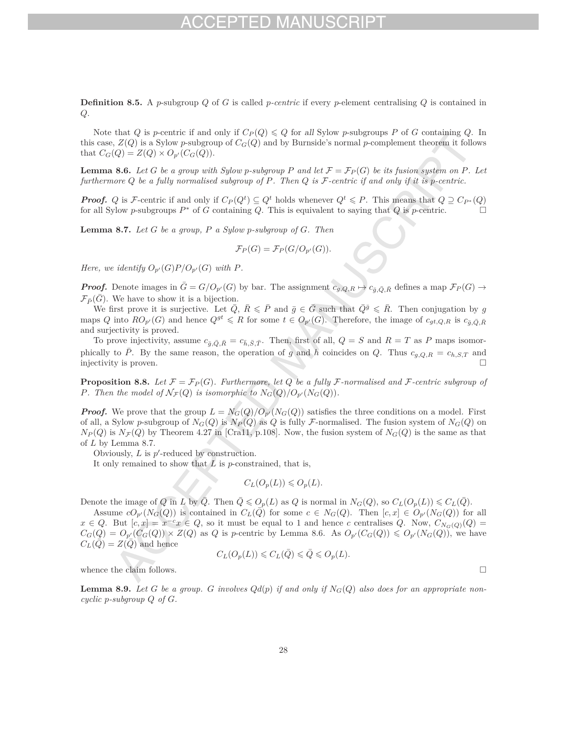**Definition 8.5.** A *p*-subgroup *Q* of *G* is called *p-centric* if every *p*-element centralising *Q* is contained in *Q*.

Note that *Q* is *p*-centric if and only if  $C_P(Q) \leq Q$  for all Sylow *p*-subgroups *P* of *G* containing *Q*. In this case,  $Z(Q)$  is a Sylow *p*-subgroup of  $C_G(Q)$  and by Burnside's normal *p*-complement theorem it follows that  $C_G(Q) = Z(Q) \times O_{p'}(C_G(Q)).$ 

**Lemma 8.6.** Let *G* be a group with Sylow p-subgroup P and let  $\mathcal{F} = \mathcal{F}_P(G)$  be its fusion system on P. Let *furthermore Q be a fully normalised subgroup of P. Then Q is* F*-centric if and only if it is p-centric.*

*Proof. Q* is *F*-centric if and only if  $C_P(Q^t) \subseteq Q^t$  holds whenever  $Q^t \leq P$ . This means that  $Q \supseteq C_{P^*}(Q)$ for all Sylow *p*-subgroups  $P^*$  of *G* containing *Q*. This is equivalent to saying that *Q* is *p*-centric.

**Lemma 8.7.** *Let G be a group, P a Sylow p-subgroup of G. Then*

$$
\mathcal{F}_P(G) = \mathcal{F}_P(G/O_{p'}(G)).
$$

*Here, we identify*  $O_{p'}(G)P/O_{p'}(G)$  *with*  $P$ *.* 

*Proof.* Denote images in  $\bar{G} = G/O_{p'}(G)$  by bar. The assignment  $c_{g,Q,R} \mapsto c_{\bar{g},\bar{Q},\bar{R}}$  defines a map  $\mathcal{F}_P(G) \to$  $\mathcal{F}_{\bar{p}}(\bar{G})$ . We have to show it is a bijection.

We first prove it is surjective. Let  $\overline{Q}$ ,  $\overline{R} \leqslant \overline{P}$  and  $\overline{g} \in \overline{G}$  such that  $\overline{Q}^{\overline{g}} \leqslant \overline{R}$ . Then conjugation by *g* maps Q into  $RO_{p'}(G)$  and hence  $Q^{gt} \leq R$  for some  $t \in O_{p'}(G)$ . Therefore, the image of  $c_{gt,Q,R}$  is  $c_{\bar{g},\bar{Q},\bar{R}}$ and surjectivity is proved.

To prove injectivity, assume  $c_{\bar{q},\bar{Q},\bar{R}} = c_{\bar{h},\bar{S},\bar{T}}$ . Then, first of all,  $Q = S$  and  $R = T$  as P maps isomorphically to  $\overline{P}$ . By the same reason, the operation of *g* and *h* coincides on *Q*. Thus  $c_{q,Q,R} = c_{h,S,T}$  and injectivity is proven.

**Proposition 8.8.** Let  $\mathcal{F} = \mathcal{F}_P(G)$ . Furthermore, let Q be a fully F-normalised and F-centric subgroup of *P.* Then the model of  $\mathcal{N}_{\mathcal{F}}(Q)$  is isomorphic to  $N_G(Q)/O_{p'}(N_G(Q))$ .

*Proof.* We prove that the group  $L = N_G(Q)/O_p/(N_G(Q))$  satisfies the three conditions on a model. First of all, a Sylow *p*-subgroup of  $N_G(Q)$  is  $N_P(Q)$  as *Q* is fully *F*-normalised. The fusion system of  $N_G(Q)$  on  $N_P(Q)$  is  $N_F(Q)$  by Theorem 4.27 in [Cra11, p.108]. Now, the fusion system of  $N_G(Q)$  is the same as that of *L* by Lemma 8.7.

Obviously,  $L$  is  $p'$ -reduced by construction.

It only remained to show that *L* is *p*-constrained, that is,

$$
C_L(O_p(L)) \leqslant O_p(L).
$$

Denote the image of Q in L by  $\overline{Q}$ . Then  $\overline{Q} \leqslant O_p(L)$  as Q is normal in  $N_G(Q)$ , so  $C_L(O_p(L)) \leqslant C_L(\overline{Q})$ .

Assume  $cO_{p'}(N_G(Q))$  is contained in  $C_L(\overline{Q})$  for some  $c \in N_G(Q)$ . Then  $[c, x] \in O_{p'}(N_G(Q))$  for all *x* ∈ *Q*. But  $[c, x] = x^{-c}x \text{ ∈ } Q$ , so it must be equal to 1 and hence *c* centralises *Q*. Now,  $C_{N_G(Q)}(Q) =$  $C_G(Q) = O_{p'_s}(C_G(Q)) \times Z(Q)$  as Q is p-centric by Lemma 8.6. As  $O_{p'}(C_G(Q)) \leq O_{p'}(N_G(Q))$ , we have  $C_L(Q) = Z(Q)$  and hence

$$
C_L(O_p(L)) \leqslant C_L(\bar{Q}) \leqslant \bar{Q} \leqslant O_p(L).
$$

whence the claim follows.  $\Box$ 

**Lemma 8.9.** Let *G* be a group. *G* involves  $Qd(p)$  if and only if  $N_G(Q)$  also does for an appropriate non*cyclic p-subgroup Q of G.*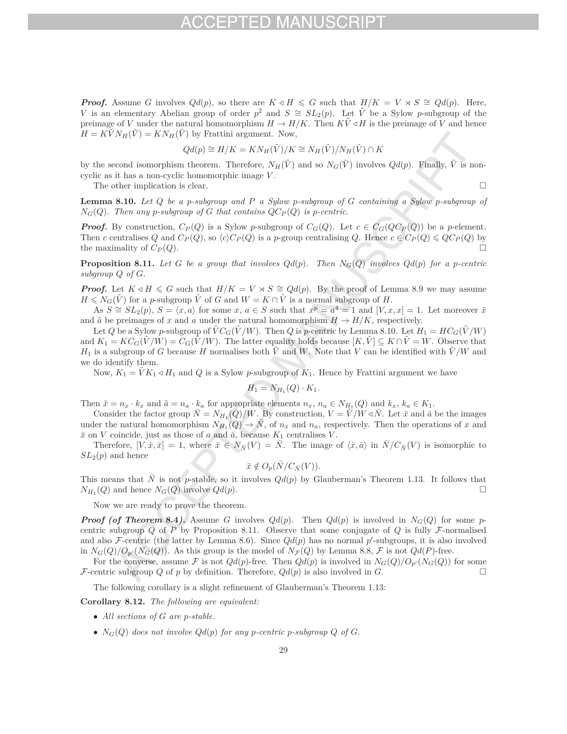*Proof.* Assume *G* involves  $Qd(p)$ , so there are  $K \triangleleft H \le G$  such that  $H/K = V \rtimes S \cong Qd(p)$ . Here, *V* is an elementary Abelian group of order  $p^2$  and  $S \cong SL_2(p)$ . Let  $\tilde{V}$  be a Sylow *p*-subgroup of the preimage of *V* under the natural homomorphism  $H \to H/K$ . Then  $K\tilde{V} \triangleleft H$  is the preimage of *V* and hence  $H = KVN_H(V) = KN_H(V)$  by Frattini argument. Now,

$$
Qd(p) \cong H/K = KN_H(\tilde{V})/K \cong N_H(\tilde{V})/N_H(\tilde{V}) \cap K
$$

by the second isomorphism theorem. Therefore,  $N_H(\tilde{V})$  and so  $N_G(\tilde{V})$  involves  $Qd(p)$ . Finally,  $\tilde{V}$  is noncyclic as it has a non-cyclic homomorphic image *V* .

The other implication is clear.  $\Box$ 

**Lemma 8.10.** *Let Q be a p-subgroup and P a Sylow p-subgroup of G containing a Sylow p-subgroup of*  $N_G(Q)$ *. Then any p-subgroup of G that contains*  $QC_P(Q)$  *is p-centric.* 

*Proof.* By construction,  $C_P(Q)$  is a Sylow *p*-subgroup of  $C_G(Q)$ . Let  $c \in C_G(QC_P(Q))$  be a *p*-element. Then c centralises Q and  $C_P(Q)$ , so  $\langle c \rangle C_P(Q)$  is a p-group centralising Q. Hence  $c \in C_P(Q) \leq QC_P(Q)$  by the maximality of  $C_P(Q)$ .

**Proposition 8.11.** Let *G* be a group that involves  $Qd(p)$ . Then  $N_G(Q)$  involves  $Qd(p)$  for a *p*-centric *subgroup Q of G.*

*Proof.* Let  $K \triangleleft H \le G$  such that  $H/K = V \rtimes S \cong Qd(p)$ . By the proof of Lemma 8.9 we may assume  $H \leq N_G(\tilde{V})$  for a *p*-subgroup  $\tilde{V}$  of *G* and  $W = K \cap \tilde{V}$  is a normal subgroup of *H*.

As  $S \cong SL_2(p)$ ,  $S = \langle x, a \rangle$  for some  $x, a \in S$  such that  $x^p = a^4 = 1$  and  $[V, x, x] = 1$ . Let moreover  $\tilde{x}$ and  $\tilde{a}$  be preimages of *x* and *a* under the natural homomorphism  $H \to H/K$ , respectively.

Let *Q* be a Sylow *p*-subgroup of  $\tilde{V}C_G(\tilde{V}/W)$ . Then *Q* is *p*-centric by Lemma 8.10. Let  $H_1 = HC_G(\tilde{V}/W)$ and  $K_1 = KC_G(\tilde{V}/W) = C_G(\tilde{V}/W)$ . The latter equality holds because  $[K, \tilde{V}] \subseteq K \cap \tilde{V} = W$ . Observe that *H*<sub>1</sub> is a subgroup of *G* because *H* normalises both  $\tilde{V}$  and *W*. Note that *V* can be identified with  $\tilde{V}/W$  and we do identify them.

Now,  $K_1 = \tilde{V} K_1 \triangleleft H_1$  and *Q* is a Sylow *p*-subgroup of  $K_1$ . Hence by Frattini argument we have

$$
H_1 = N_{H_1}(Q) \cdot K_1.
$$

Then  $\tilde{x} = n_x \cdot k_x$  and  $\tilde{a} = n_a \cdot k_a$  for appropriate elements  $n_x$ ,  $n_a \in N_{H_1}(Q)$  and  $k_x$ ,  $k_a \in K_1$ .

Consider the factor group  $\bar{N} = N_{H_1}(Q)/W$ . By construction,  $V = \tilde{V}/W \triangleleft \bar{N}$ . Let  $\bar{x}$  and  $\bar{a}$  be the images under the natural homomorphism  $N_{H_1}(Q) \to \overline{N}$ , of  $n_x$  and  $n_a$ , respectively. Then the operations of *x* and  $\bar{x}$  on *V* coincide, just as those of *a* and  $\bar{a}$ , because  $K_1$  centralises *V*.

Therefore,  $[V, \bar{x}, \bar{x}] = 1$ , where  $\bar{x} \in N_{\bar{N}}(V) = \bar{N}$ . The image of  $\langle \bar{x}, \bar{a} \rangle$  in  $\bar{N}/C_{\bar{N}}(V)$  is isomorphic to  $SL<sub>2</sub>(p)$  and hence

$$
\bar{x} \notin O_p(\bar{N}/C_{\bar{N}}(V)).
$$

This means that  $\overline{N}$  is not *p*-stable, so it involves  $Qd(p)$  by Glauberman's Theorem 1.13. It follows that  $N_{H_1}(Q)$  and hence  $N_G(Q)$  involve  $Qd(p)$ .

Now we are ready to prove the theorem.

*Proof (of Theorem* 8.4). Assume *G* involves  $Qd(p)$ . Then  $Qd(p)$  is involved in  $N_G(Q)$  for some *p*centric subgroup *Q* of *P* by Proposition 8.11. Observe that some conjugate of *Q* is fully F-normalised and also F-centric (the latter by Lemma 8.6). Since  $Qd(p)$  has no normal  $p'$ -subgroups, it is also involved in  $N_G(Q)/O_{p'}(N_G(Q))$ . As this group is the model of  $N_F(Q)$  by Lemma 8.8, F is not  $Qd(P)$ -free.

For the converse, assume  $\mathcal F$  is not  $Qd(p)$ -free. Then  $Qd(p)$  is involved in  $N_G(Q)/O_{p'}(N_G(Q))$  for some F-centric subgroup *Q* of *p* by definition. Therefore,  $Qd(p)$  is also involved in *G*.

The following corollary is a slight refinement of Glauberman's Theorem 1.13:

**Corollary 8.12.** *The following are equivalent:*

- *All sections of G are p-stable.*
- $N_G(Q)$  does not involve  $Qd(p)$  for any *p*-centric *p*-subgroup  $Q$  of  $G$ .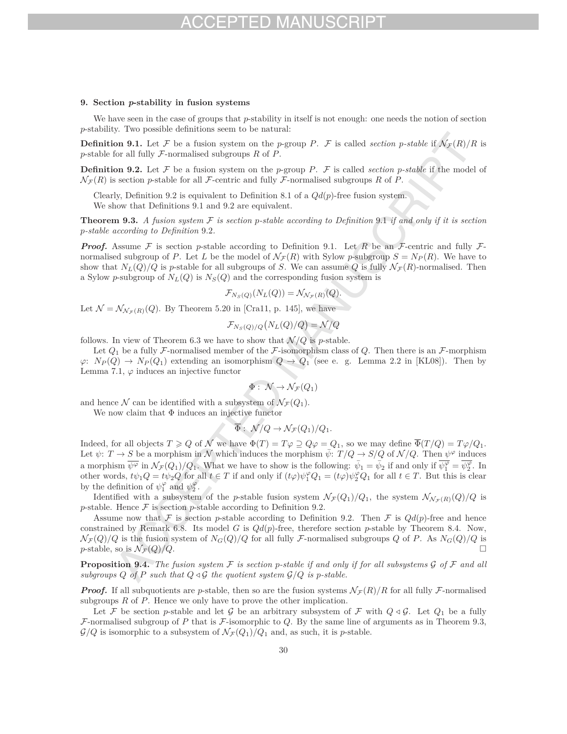### **9. Section** *p***-stability in fusion systems**

We have seen in the case of groups that *p*-stability in itself is not enough: one needs the notion of section *p*-stability. Two possible definitions seem to be natural:

**Definition 9.1.** Let F be a fusion system on the *p*-group P. F is called *section p*-stable if  $N_F(R)/R$  is *p*-stable for all fully F-normalised subgroups *R* of *P*.

**Definition 9.2.** Let  $\mathcal F$  be a fusion system on the *p*-group *P*.  $\mathcal F$  is called *section p*-stable if the model of  $\mathcal{N}_{\mathcal{F}}(R)$  is section *p*-stable for all *F*-centric and fully *F*-normalised subgroups *R* of *P*.

Clearly, Definition 9.2 is equivalent to Definition 8.1 of a  $Qd(p)$ -free fusion system. We show that Definitions 9.1 and 9.2 are equivalent.

**Theorem 9.3.** A fusion system  $\mathcal F$  is section p-stable according to Definition 9.1 if and only if it is section *p-stable according to Definition* 9*.*2*.*

*Proof.* Assume F is section p-stable according to Definition 9.1. Let R be an F-centric and fully Fnormalised subgroup of *P*. Let *L* be the model of  $\mathcal{N}_{\mathcal{F}}(R)$  with Sylow *p*-subgroup  $S = N_P(R)$ . We have to show that  $N_L(Q)/Q$  is p-stable for all subgroups of *S*. We can assume *Q* is fully  $\mathcal{N}_{\mathcal{F}}(R)$ -normalised. Then a Sylow *p*-subgroup of  $N_L(Q)$  is  $N_S(Q)$  and the corresponding fusion system is

$$
\mathcal{F}_{N_S(Q)}(N_L(Q)) = \mathcal{N}_{\mathcal{N}_{\mathcal{F}}(R)}(Q).
$$

Let  $\mathcal{N} = \mathcal{N}_{\mathcal{N}_{\pi}(R)}(Q)$ . By Theorem 5.20 in [Cra11, p. 145], we have

$$
\mathcal{F}_{N_S(Q)/Q}(N_L(Q)/Q) = \mathcal{N}/Q
$$

follows. In view of Theorem 6.3 we have to show that  $\mathcal{N}/Q$  is *p*-stable.

Let  $Q_1$  be a fully F-normalised member of the F-isomorphism class of  $Q$ . Then there is an F-morphism  $\varphi: N_P(Q) \to N_P(Q_1)$  extending an isomorphism  $Q \to Q_1$  (see e. g. Lemma 2.2 in [KL08]). Then by Lemma 7.1,  $\varphi$  induces an injective functor

$$
\Phi:\,\mathcal{N}\rightarrow\mathcal{N}_{\mathcal{F}}(Q_1)
$$

and hence N can be identified with a subsystem of  $\mathcal{N}_{\mathcal{F}}(Q_1)$ .

We now claim that  $\Phi$  induces an injective functor

$$
\overline{\Phi}: \mathcal{N}/Q \to \mathcal{N}_{\mathcal{F}}(Q_1)/Q_1.
$$

Indeed, for all objects  $T \geq Q$  of N we have  $\Phi(T) = T\varphi \supseteq Q\varphi = Q_1$ , so we may define  $\overline{\Phi}(T/Q) = T\varphi/Q_1$ . Let  $\psi: T \to S$  be a morphism in N which induces the morphism  $\bar{\psi}: T/Q \to S/Q$  of  $\mathcal{N}/Q$ . Then  $\psi^{\varphi}$  induces a morphism  $\overline{\psi^{\varphi}}$  in  $\mathcal{N}_{\mathcal{F}}(Q_1)/Q_1$ . What we have to show is the following:  $\overline{\psi_1} = \overline{\psi_2}$  if and only if  $\overline{\psi_1^{\varphi}} = \overline{\psi_2^{\varphi}}$ . In other words,  $t\psi_1Q = t\psi_2Q$  for all  $t \in T$  if and only if  $(t\varphi)\psi_1^{\varphi}Q_1 = (t\varphi)\psi_2^{\varphi}Q_1$  for all  $t \in T$ . But this is clear by the definition of  $\psi_1^{\varphi}$  and  $\psi_2^{\varphi}$ .

Identified with a subsystem of the *p*-stable fusion system  $\mathcal{N}_{\mathcal{F}}(Q_1)/Q_1$ , the system  $\mathcal{N}_{\mathcal{N}_{\mathcal{F}}(R)}(Q)/Q$  is *p*-stable. Hence  $\mathcal F$  is section *p*-stable according to Definition 9.2.

Assume now that F is section *p*-stable according to Definition 9.2. Then F is  $Qd(p)$ -free and hence constrained by Remark 6.8. Its model *G* is  $Qd(p)$ -free, therefore section *p*-stable by Theorem 8.4. Now,  $N_{\mathcal{F}}(Q)/Q$  is the fusion system of  $N_G(Q)/Q$  for all fully F-normalised subgroups *Q* of *P*. As  $N_G(Q)/Q$  is  $n$ -stable so is  $N_{\mathcal{F}}(Q)/Q$ *p*-stable, so is  $\mathcal{N}_{\mathcal{F}}(Q)/Q$ .

**Proposition 9.4.** *The fusion system* F *is section p-stable if and only if for all subsystems* G *of* F *and all subgroups*  $Q$  *of*  $P$  *such that*  $Q \triangleleft \mathcal{G}$  *the quotient system*  $\mathcal{G}/Q$  *is p-stable.* 

*Proof.* If all subquotients are *p*-stable, then so are the fusion systems  $\mathcal{N}_{\mathcal{F}}(R)/R$  for all fully F-normalised subgroups *R* of *P*. Hence we only have to prove the other implication.

Let F be section p-stable and let G be an arbitrary subsystem of F with  $Q \triangleleft \mathcal{G}$ . Let  $Q_1$  be a fully F-normalised subgroup of *P* that is F-isomorphic to *Q*. By the same line of arguments as in Theorem 9.3,  $\mathcal{G}/Q$  is isomorphic to a subsystem of  $\mathcal{N}_{\mathcal{F}}(Q_1)/Q_1$  and, as such, it is *p*-stable.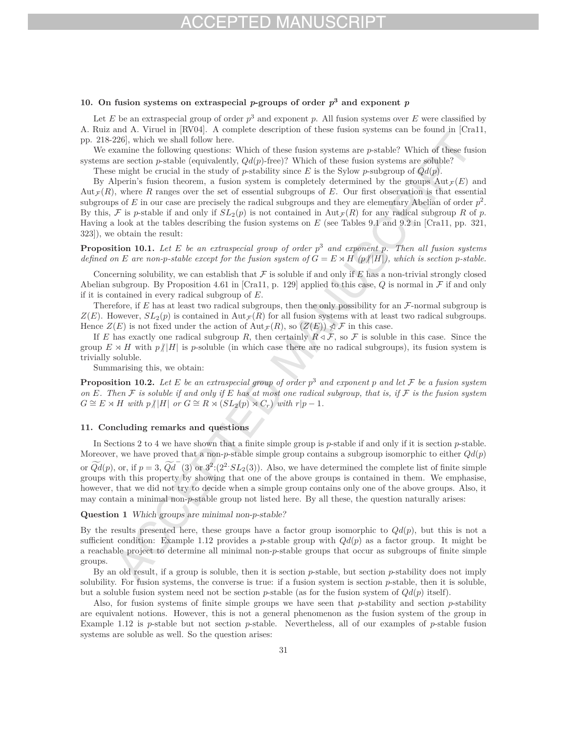## FD MA

### 10. On fusion systems on extraspecial *p*-groups of order  $p^3$  and exponent *p*

Let *E* be an extraspecial group of order  $p^3$  and exponent p. All fusion systems over *E* were classified by A. Ruiz and A. Viruel in [RV04]. A complete description of these fusion systems can be found in [Cra11, pp. 218-226], which we shall follow here.

We examine the following questions: Which of these fusion systems are *p*-stable? Which of these fusion systems are section *p*-stable (equivalently,  $Qd(p)$ -free)? Which of these fusion systems are soluble?

These might be crucial in the study of *p*-stability since *E* is the Sylow *p*-subgroup of *Qd*(*p*).

By Alperin's fusion theorem, a fusion system is completely determined by the groups  $Aut_{\mathcal{F}}(E)$  and  $Aut_{\mathcal{F}}(R)$ , where *R* ranges over the set of essential subgroups of *E*. Our first observation is that essential subgroups of *E* in our case are precisely the radical subgroups and they are elementary Abelian of order  $p^2$ . By this, F is *p*-stable if and only if  $SL_2(p)$  is not contained in Aut $_F(R)$  for any radical subgroup R of p. Having a look at the tables describing the fusion systems on *E* (see Tables 9.1 and 9.2 in [Cra11, pp. 321, 323]), we obtain the result:

**Proposition 10.1.** Let E be an extraspecial group of order  $p^3$  and exponent p. Then all fusion systems *defined on E* are non-*p*-stable except for the fusion system of  $G = E \rtimes H$  ( $p \nmid |H|$ ), which is section *p*-stable.

Concerning solubility, we can establish that  $\mathcal F$  is soluble if and only if  $E$  has a non-trivial strongly closed Abelian subgroup. By Proposition 4.61 in [Cra11, p. 129] applied to this case, *Q* is normal in F if and only if it is contained in every radical subgroup of *E*.

Therefore, if  $E$  has at least two radical subgroups, then the only possibility for an  $\mathcal{F}\text{-normal subgroup}$  is  $Z(E)$ . However,  $SL_2(p)$  is contained in Aut<sub>*F*</sub>(*R*) for all fusion systems with at least two radical subgroups. Hence  $Z(E)$  is not fixed under the action of  $\text{Aut}_{\mathcal{F}}(R)$ , so  $(Z(E)) \nless \mathcal{F}$  in this case.

If *E* has exactly one radical subgroup *R*, then certainly  $R \triangleleft \mathcal{F}$ , so  $\mathcal{F}$  is soluble in this case. Since the group  $E \rtimes H$  with  $p/|H|$  is *p*-soluble (in which case there are no radical subgroups), its fusion system is trivially soluble.

Summarising this, we obtain:

**Proposition 10.2.** Let E be an extraspecial group of order  $p^3$  and exponent p and let F be a fusion system *on E. Then* F *is soluble if and only if E has at most one radical subgroup, that is, if* F *is the fusion system*  $G \cong E \rtimes H$  *with*  $p/|H|$  *or*  $G \cong R \rtimes (SL_2(p) \rtimes C_r)$  *with*  $r|p-1$ *.* 

### **11. Concluding remarks and questions**

In Sections 2 to 4 we have shown that a finite simple group is *p*-stable if and only if it is section *p*-stable. Moreover, we have proved that a non-*p*-stable simple group contains a subgroup isomorphic to either  $Qd(p)$ or  $\widetilde{Qd}(p)$ , or, if  $p = 3$ ,  $\widetilde{Qd}^-(3)$  or  $3^2:(2^2 \cdot SL_2(3))$ . Also, we have determined the complete list of finite simple groups with this property by showing that one of the above groups is contained in them. We emphasise, however, that we did not try to decide when a simple group contains only one of the above groups. Also, it may contain a minimal non-*p*-stable group not listed here. By all these, the question naturally arises:

**Question 1** *Which groups are minimal non-p-stable?*

By the results presented here, these groups have a factor group isomorphic to  $Qd(p)$ , but this is not a sufficient condition: Example 1.12 provides a *p*-stable group with  $Qd(p)$  as a factor group. It might be a reachable project to determine all minimal non-*p*-stable groups that occur as subgroups of finite simple groups.

By an old result, if a group is soluble, then it is section *p*-stable, but section *p*-stability does not imply solubility. For fusion systems, the converse is true: if a fusion system is section *p*-stable, then it is soluble, but a soluble fusion system need not be section  $p$ -stable (as for the fusion system of  $Qd(p)$  itself).

Also, for fusion systems of finite simple groups we have seen that *p*-stability and section *p*-stability are equivalent notions. However, this is not a general phenomenon as the fusion system of the group in Example 1.12 is *p*-stable but not section *p*-stable. Nevertheless, all of our examples of *p*-stable fusion systems are soluble as well. So the question arises: